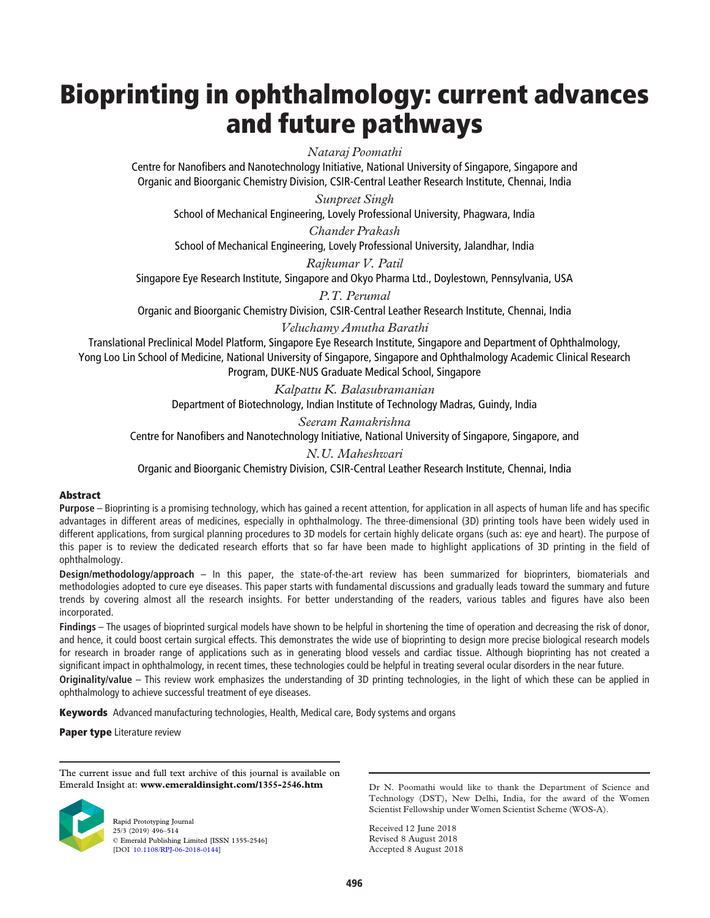# Bioprinting in ophthalmology: current advances and future pathways

*Nataraj Poomathi*

Centre for Nanofibers and Nanotechnology Initiative, National University of Singapore, Singapore and Organic and Bioorganic Chemistry Division, CSIR-Central Leather Research Institute, Chennai, India

*Sunpreet Singh*

School of Mechanical Engineering, Lovely Professional University, Phagwara, India

*Chander Prakash* School of Mechanical Engineering, Lovely Professional University, Jalandhar, India

*Rajkumar V. Patil* Singapore Eye Research Institute, Singapore and Okyo Pharma Ltd., Doylestown, Pennsylvania, USA

*P.T. Perumal*

Organic and Bioorganic Chemistry Division, CSIR-Central Leather Research Institute, Chennai, India

*Veluchamy Amutha Barathi*

Translational Preclinical Model Platform, Singapore Eye Research Institute, Singapore and Department of Ophthalmology, Yong Loo Lin School of Medicine, National University of Singapore, Singapore and Ophthalmology Academic Clinical Research Program, DUKE-NUS Graduate Medical School, Singapore

> *Kalpattu K. Balasubramanian* Department of Biotechnology, Indian Institute of Technology Madras, Guindy, India

*Seeram Ramakrishna* Centre for Nanofibers and Nanotechnology Initiative, National University of Singapore, Singapore, and *N.U. Maheshwari*

Organic and Bioorganic Chemistry Division, CSIR-Central Leather Research Institute, Chennai, India

# Abstract

Purpose – Bioprinting is a promising technology, which has gained a recent attention, for application in all aspects of human life and has specific advantages in different areas of medicines, especially in ophthalmology. The three-dimensional (3D) printing tools have been widely used in different applications, from surgical planning procedures to 3D models for certain highly delicate organs (such as: eye and heart). The purpose of this paper is to review the dedicated research efforts that so far have been made to highlight applications of 3D printing in the field of ophthalmology.

Design/methodology/approach – In this paper, the state-of-the-art review has been summarized for bioprinters, biomaterials and methodologies adopted to cure eye diseases. This paper starts with fundamental discussions and gradually leads toward the summary and future trends by covering almost all the research insights. For better understanding of the readers, various tables and figures have also been incorporated.

Findings – The usages of bioprinted surgical models have shown to be helpful in shortening the time of operation and decreasing the risk of donor, and hence, it could boost certain surgical effects. This demonstrates the wide use of bioprinting to design more precise biological research models for research in broader range of applications such as in generating blood vessels and cardiac tissue. Although bioprinting has not created a significant impact in ophthalmology, in recent times, these technologies could be helpful in treating several ocular disorders in the near future.

Originality/value – This review work emphasizes the understanding of 3D printing technologies, in the light of which these can be applied in ophthalmology to achieve successful treatment of eye diseases.

**Keywords** Advanced manufacturing technologies, Health, Medical care, Body systems and organs

Paper type Literature review

The current issue and full text archive of this journal is available on Emerald Insight at: www.emeraldinsight.com/1355-2546.htm



Rapid Prototyping Journal 25/3 (2019) 496–514 © Emerald Publishing Limited [ISSN 1355-2546] [DOI 10.1108/RPJ-06-2018-0144]

Dr N. Poomathi would like to thank the Department of Science and Technology (DST), New Delhi, India, for the award of the Women Scientist Fellowship under Women Scientist Scheme (WOS-A).

Received 12 June 2018 Revised 8 August 2018 Accepted 8 August 2018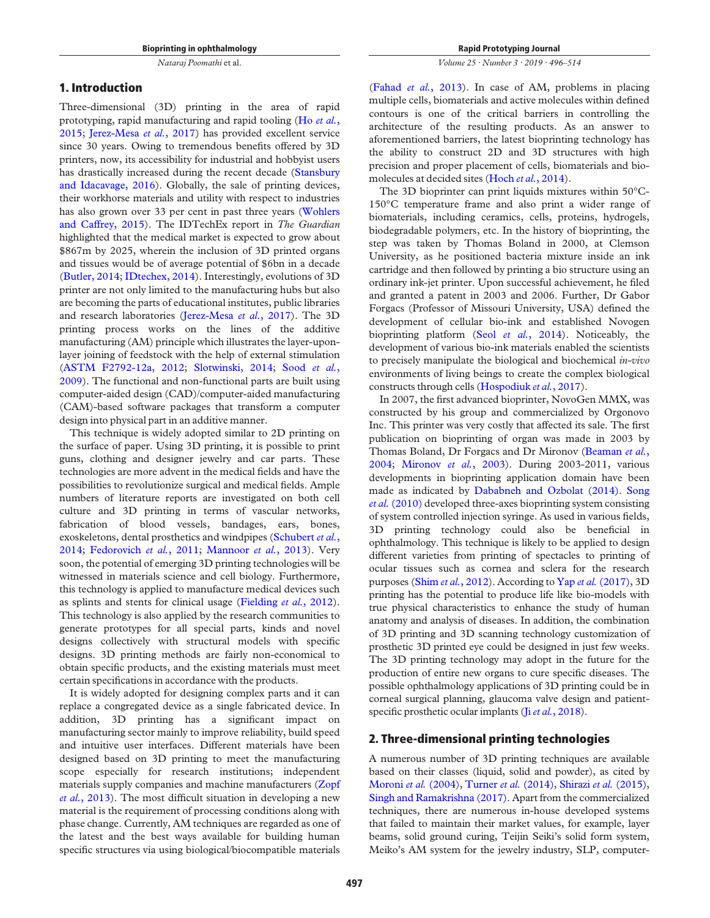# 1. Introduction

Three-dimensional (3D) printing in the area of rapid prototyping, rapid manufacturing and rapid tooling (Ho *et al.*, 2015; Jerez-Mesa *et al.*, 2017) has provided excellent service since 30 years. Owing to tremendous benefits offered by 3D printers, now, its accessibility for industrial and hobbyist users has drastically increased during the recent decade (Stansbury and Idacavage, 2016). Globally, the sale of printing devices, their workhorse materials and utility with respect to industries has also grown over 33 per cent in past three years (Wohlers and Caffrey, 2015). The IDTechEx report in *The Guardian* highlighted that the medical market is expected to grow about \$867m by 2025, wherein the inclusion of 3D printed organs and tissues would be of average potential of \$6bn in a decade (Butler, 2014; IDtechex, 2014). Interestingly, evolutions of 3D printer are not only limited to the manufacturing hubs but also are becoming the parts of educational institutes, public libraries and research laboratories (Jerez-Mesa *et al.*, 2017). The 3D printing process works on the lines of the additive manufacturing (AM) principle which illustrates the layer-uponlayer joining of feedstock with the help of external stimulation (ASTM F2792-12a, 2012; Slotwinski, 2014; Sood *et al.*, 2009). The functional and non-functional parts are built using computer-aided design (CAD)/computer-aided manufacturing (CAM)-based software packages that transform a computer design into physical part in an additive manner.

This technique is widely adopted similar to 2D printing on the surface of paper. Using 3D printing, it is possible to print guns, clothing and designer jewelry and car parts. These technologies are more advent in the medical fields and have the possibilities to revolutionize surgical and medical fields. Ample numbers of literature reports are investigated on both cell culture and 3D printing in terms of vascular networks, fabrication of blood vessels, bandages, ears, bones, exoskeletons, dental prosthetics and windpipes (Schubert *et al.*, 2014; Fedorovich *et al.*, 2011; Mannoor *et al.*, 2013). Very soon, the potential of emerging 3D printing technologies will be witnessed in materials science and cell biology. Furthermore, this technology is applied to manufacture medical devices such as splints and stents for clinical usage (Fielding *et al.*, 2012). This technology is also applied by the research communities to generate prototypes for all special parts, kinds and novel designs collectively with structural models with specific designs. 3D printing methods are fairly non-economical to obtain specific products, and the existing materials must meet certain specifications in accordance with the products.

It is widely adopted for designing complex parts and it can replace a congregated device as a single fabricated device. In addition, 3D printing has a significant impact on manufacturing sector mainly to improve reliability, build speed and intuitive user interfaces. Different materials have been designed based on 3D printing to meet the manufacturing scope especially for research institutions; independent materials supply companies and machine manufacturers (Zopf *et al.*, 2013). The most difficult situation in developing a new material is the requirement of processing conditions along with phase change. Currently, AM techniques are regarded as one of the latest and the best ways available for building human specific structures via using biological/biocompatible materials

*Volume 25 · Number 3 · 2019 · 496*–*514*

(Fahad *et al.*, 2013). In case of AM, problems in placing multiple cells, biomaterials and active molecules within defined contours is one of the critical barriers in controlling the architecture of the resulting products. As an answer to aforementioned barriers, the latest bioprinting technology has the ability to construct 2D and 3D structures with high precision and proper placement of cells, biomaterials and biomolecules at decided sites (Hoch *et al.*, 2014).

The 3D bioprinter can print liquids mixtures within 50°C-150°C temperature frame and also print a wider range of biomaterials, including ceramics, cells, proteins, hydrogels, biodegradable polymers, etc. In the history of bioprinting, the step was taken by Thomas Boland in 2000, at Clemson University, as he positioned bacteria mixture inside an ink cartridge and then followed by printing a bio structure using an ordinary ink-jet printer. Upon successful achievement, he filed and granted a patent in 2003 and 2006. Further, Dr Gabor Forgacs (Professor of Missouri University, USA) defined the development of cellular bio-ink and established Novogen bioprinting platform (Seol *et al.*, 2014). Noticeably, the development of various bio-ink materials enabled the scientists to precisely manipulate the biological and biochemical *in-vivo* environments of living beings to create the complex biological constructs through cells (Hospodiuk *et al.*, 2017).

In 2007, the first advanced bioprinter, NovoGen MMX, was constructed by his group and commercialized by Orgonovo Inc. This printer was very costly that affected its sale. The first publication on bioprinting of organ was made in 2003 by Thomas Boland, Dr Forgacs and Dr Mironov (Beaman *et al.*, 2004; Mironov *et al.*, 2003). During 2003-2011, various developments in bioprinting application domain have been made as indicated by Dababneh and Ozbolat (2014). Song *et al.*(2010) developed three-axes bioprinting system consisting of system controlled injection syringe. As used in various fields, 3D printing technology could also be beneficial in ophthalmology. This technique is likely to be applied to design different varieties from printing of spectacles to printing of ocular tissues such as cornea and sclera for the research purposes (Shim *et al.*, 2012). According to Yap *et al.* (2017), 3D printing has the potential to produce life like bio-models with true physical characteristics to enhance the study of human anatomy and analysis of diseases. In addition, the combination of 3D printing and 3D scanning technology customization of prosthetic 3D printed eye could be designed in just few weeks. The 3D printing technology may adopt in the future for the production of entire new organs to cure specific diseases. The possible ophthalmology applications of 3D printing could be in corneal surgical planning, glaucoma valve design and patientspecific prosthetic ocular implants (Ji*et al.*, 2018).

# 2. Three-dimensional printing technologies

A numerous number of 3D printing techniques are available based on their classes (liquid, solid and powder), as cited by Moroni *et al.* (2004), Turner *et al.* (2014), Shirazi *et al.* (2015), Singh and Ramakrishna (2017). Apart from the commercialized techniques, there are numerous in-house developed systems that failed to maintain their market values, for example, layer beams, solid ground curing, Teijin Seiki's solid form system, Meiko's AM system for the jewelry industry, SLP, computer-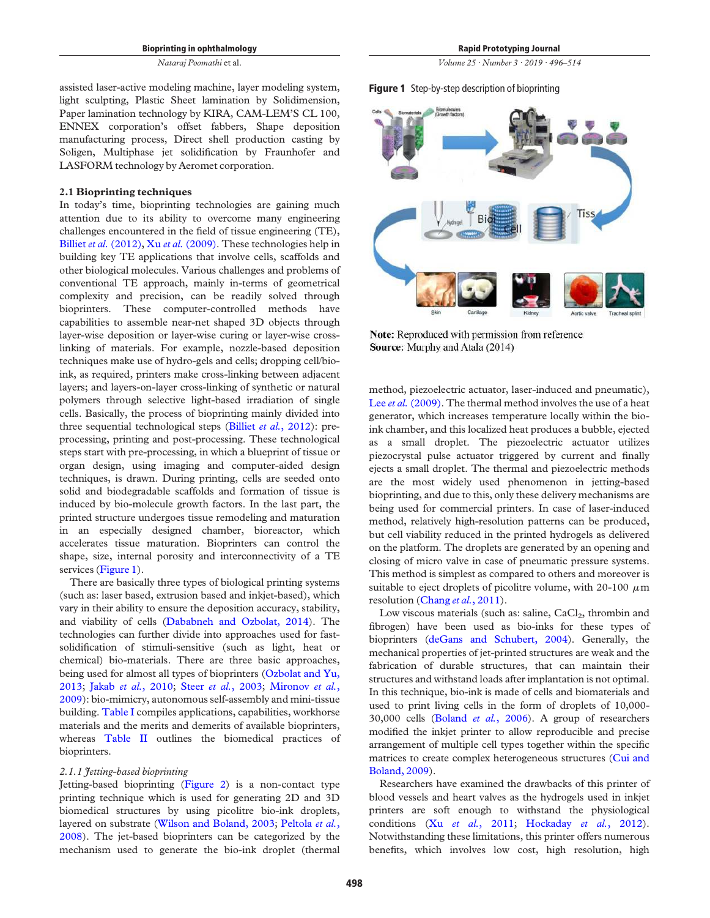*Nataraj Poomathi* et al.

assisted laser-active modeling machine, layer modeling system, light sculpting, Plastic Sheet lamination by Solidimension, Paper lamination technology by KIRA, CAM-LEM'S CL 100, ENNEX corporation's offset fabbers, Shape deposition manufacturing process, Direct shell production casting by Soligen, Multiphase jet solidification by Fraunhofer and LASFORM technology by Aeromet corporation.

## 2.1 Bioprinting techniques

In today's time, bioprinting technologies are gaining much attention due to its ability to overcome many engineering challenges encountered in the field of tissue engineering (TE), Billiet *et al.* (2012), Xu *et al.* (2009). These technologies help in building key TE applications that involve cells, scaffolds and other biological molecules. Various challenges and problems of conventional TE approach, mainly in-terms of geometrical complexity and precision, can be readily solved through bioprinters. These computer-controlled methods have capabilities to assemble near-net shaped 3D objects through layer-wise deposition or layer-wise curing or layer-wise crosslinking of materials. For example, nozzle-based deposition techniques make use of hydro-gels and cells; dropping cell/bioink, as required, printers make cross-linking between adjacent layers; and layers-on-layer cross-linking of synthetic or natural polymers through selective light-based irradiation of single cells. Basically, the process of bioprinting mainly divided into three sequential technological steps (Billiet *et al.*, 2012): preprocessing, printing and post-processing. These technological steps start with pre-processing, in which a blueprint of tissue or organ design, using imaging and computer-aided design techniques, is drawn. During printing, cells are seeded onto solid and biodegradable scaffolds and formation of tissue is induced by bio-molecule growth factors. In the last part, the printed structure undergoes tissue remodeling and maturation in an especially designed chamber, bioreactor, which accelerates tissue maturation. Bioprinters can control the shape, size, internal porosity and interconnectivity of a TE services (Figure 1).

There are basically three types of biological printing systems (such as: laser based, extrusion based and inkjet-based), which vary in their ability to ensure the deposition accuracy, stability, and viability of cells (Dababneh and Ozbolat, 2014). The technologies can further divide into approaches used for fastsolidification of stimuli-sensitive (such as light, heat or chemical) bio-materials. There are three basic approaches, being used for almost all types of bioprinters (Ozbolat and Yu, 2013; Jakab *et al.*, 2010; Steer *et al.*, 2003; Mironov *et al.*, 2009): bio-mimicry, autonomous self-assembly and mini-tissue building. Table I compiles applications, capabilities, workhorse materials and the merits and demerits of available bioprinters, whereas Table II outlines the biomedical practices of bioprinters.

#### *2.1.1 Jetting-based bioprinting*

Jetting-based bioprinting (Figure 2) is a non-contact type printing technique which is used for generating 2D and 3D biomedical structures by using picolitre bio-ink droplets, layered on substrate (Wilson and Boland, 2003; Peltola *et al.*, 2008). The jet-based bioprinters can be categorized by the mechanism used to generate the bio-ink droplet (thermal *Volume 25 · Number 3 · 2019 · 496*–*514*

Figure 1 Step-by-step description of bioprinting



Note: Reproduced with permission from reference Source: Murphy and Atala (2014)

method, piezoelectric actuator, laser-induced and pneumatic), Lee *et al.* (2009). The thermal method involves the use of a heat generator, which increases temperature locally within the bioink chamber, and this localized heat produces a bubble, ejected as a small droplet. The piezoelectric actuator utilizes piezocrystal pulse actuator triggered by current and finally ejects a small droplet. The thermal and piezoelectric methods are the most widely used phenomenon in jetting-based bioprinting, and due to this, only these delivery mechanisms are being used for commercial printers. In case of laser-induced method, relatively high-resolution patterns can be produced, but cell viability reduced in the printed hydrogels as delivered on the platform. The droplets are generated by an opening and closing of micro valve in case of pneumatic pressure systems. This method is simplest as compared to others and moreover is suitable to eject droplets of picolitre volume, with 20-100  $\mu$ m resolution (Chang *et al.*, 2011).

Low viscous materials (such as: saline,  $CaCl<sub>2</sub>$ , thrombin and fibrogen) have been used as bio-inks for these types of bioprinters (deGans and Schubert, 2004). Generally, the mechanical properties of jet-printed structures are weak and the fabrication of durable structures, that can maintain their structures and withstand loads after implantation is not optimal. In this technique, bio-ink is made of cells and biomaterials and used to print living cells in the form of droplets of 10,000- 30,000 cells (Boland *et al.*, 2006). A group of researchers modified the inkjet printer to allow reproducible and precise arrangement of multiple cell types together within the specific matrices to create complex heterogeneous structures (Cui and Boland, 2009).

Researchers have examined the drawbacks of this printer of blood vessels and heart valves as the hydrogels used in inkjet printers are soft enough to withstand the physiological conditions (Xu *et al.*, 2011; Hockaday *et al.*, 2012). Notwithstanding these limitations, this printer offers numerous benefits, which involves low cost, high resolution, high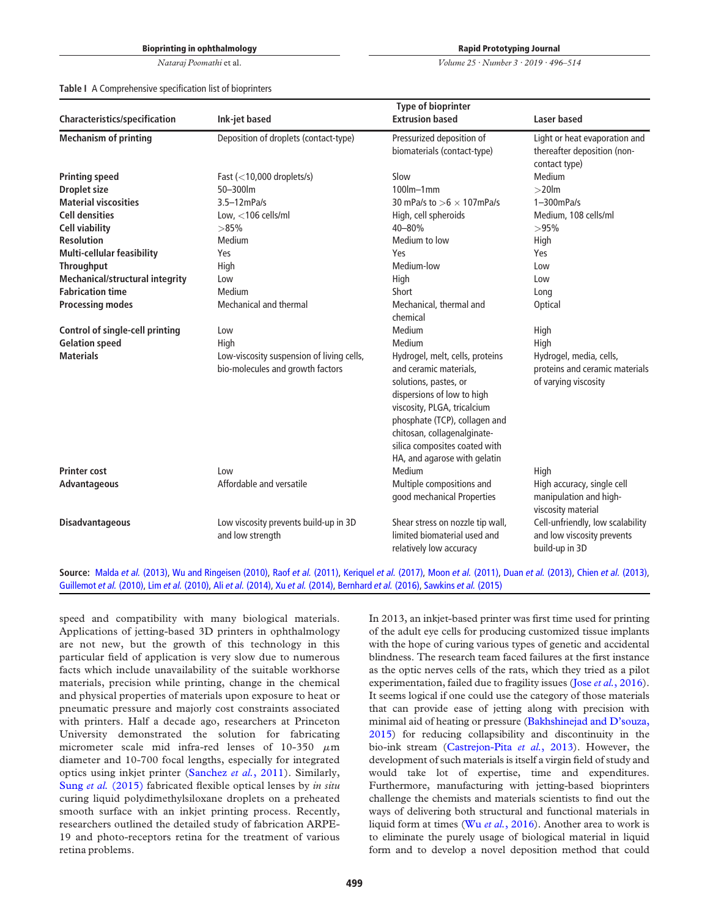*Nataraj Poomathi* et al.

Rapid Prototyping Journal

*Volume 25 · Number 3 · 2019 · 496*–*514*

Table I A Comprehensive specification list of bioprinters

|                                        |                                           | <b>Type of bioprinter</b>           |                                  |  |  |
|----------------------------------------|-------------------------------------------|-------------------------------------|----------------------------------|--|--|
| Characteristics/specification          | Ink-jet based                             | <b>Extrusion based</b>              | <b>Laser based</b>               |  |  |
| <b>Mechanism of printing</b>           | Deposition of droplets (contact-type)     | Pressurized deposition of           | Light or heat evaporation and    |  |  |
|                                        |                                           | biomaterials (contact-type)         | thereafter deposition (non-      |  |  |
|                                        |                                           |                                     | contact type)                    |  |  |
| <b>Printing speed</b>                  | Fast $(<$ 10,000 droplets/s)              | Slow                                | Medium                           |  |  |
| <b>Droplet size</b>                    | 50-300lm                                  | $100$ lm $-1$ mm                    | $>20$ lm                         |  |  |
| <b>Material viscosities</b>            | $3.5 - 12$ mPa/s                          | 30 mPa/s to $>6 \times 107$ mPa/s   | $1 - 300$ m $Pa/s$               |  |  |
| <b>Cell densities</b>                  | Low, $<$ 106 cells/ml                     | High, cell spheroids                | Medium, 108 cells/ml             |  |  |
| <b>Cell viability</b>                  | >85%                                      | 40-80%                              | >95%                             |  |  |
| <b>Resolution</b>                      | Medium                                    | Medium to low                       | High                             |  |  |
| Multi-cellular feasibility             | Yes                                       | Yes                                 | Yes                              |  |  |
| <b>Throughput</b>                      | High                                      | Medium-low                          | Low                              |  |  |
| Mechanical/structural integrity        | Low                                       | High                                | Low                              |  |  |
| <b>Fabrication time</b>                | Medium                                    | Short                               | Long                             |  |  |
| <b>Processing modes</b>                | <b>Mechanical and thermal</b>             | Mechanical, thermal and<br>chemical | <b>Optical</b>                   |  |  |
| <b>Control of single-cell printing</b> | Low                                       | Medium                              | High                             |  |  |
| <b>Gelation speed</b>                  | High                                      | Medium                              | High                             |  |  |
| <b>Materials</b>                       | Low-viscosity suspension of living cells, | Hydrogel, melt, cells, proteins     | Hydrogel, media, cells,          |  |  |
|                                        | bio-molecules and growth factors          | and ceramic materials.              | proteins and ceramic materials   |  |  |
|                                        |                                           | solutions, pastes, or               | of varying viscosity             |  |  |
|                                        |                                           | dispersions of low to high          |                                  |  |  |
|                                        |                                           | viscosity, PLGA, tricalcium         |                                  |  |  |
|                                        |                                           | phosphate (TCP), collagen and       |                                  |  |  |
|                                        |                                           | chitosan, collagenalginate-         |                                  |  |  |
|                                        |                                           | silica composites coated with       |                                  |  |  |
|                                        |                                           | HA, and agarose with gelatin        |                                  |  |  |
| <b>Printer cost</b>                    | l ow                                      | Medium                              | High                             |  |  |
| Advantageous                           | Affordable and versatile                  | Multiple compositions and           | High accuracy, single cell       |  |  |
|                                        |                                           | good mechanical Properties          | manipulation and high-           |  |  |
|                                        |                                           |                                     | viscosity material               |  |  |
| <b>Disadvantageous</b>                 | Low viscosity prevents build-up in 3D     | Shear stress on nozzle tip wall,    | Cell-unfriendly, low scalability |  |  |
|                                        | and low strength                          | limited biomaterial used and        | and low viscosity prevents       |  |  |
|                                        |                                           | relatively low accuracy             | build-up in 3D                   |  |  |
|                                        |                                           |                                     |                                  |  |  |

Source: Malda et al. (2013), Wu and Ringeisen (2010), Raof et al. (2011), Keriquel et al. (2017), Moon et al. (2011), Duan et al. (2013), Chien et al. (2013), Guillemot et al. (2010), Lim et al. (2010), Ali et al. (2014), Xu et al. (2014), Bernhard et al. (2016), Sawkins et al. (2015)

speed and compatibility with many biological materials. Applications of jetting-based 3D printers in ophthalmology are not new, but the growth of this technology in this particular field of application is very slow due to numerous facts which include unavailability of the suitable workhorse materials, precision while printing, change in the chemical and physical properties of materials upon exposure to heat or pneumatic pressure and majorly cost constraints associated with printers. Half a decade ago, researchers at Princeton University demonstrated the solution for fabricating micrometer scale mid infra-red lenses of  $10-350 \mu m$ diameter and 10-700 focal lengths, especially for integrated optics using inkjet printer (Sanchez *et al.*, 2011). Similarly, Sung *et al.* (2015) fabricated flexible optical lenses by *in situ* curing liquid polydimethylsiloxane droplets on a preheated smooth surface with an inkjet printing process. Recently, researchers outlined the detailed study of fabrication ARPE-19 and photo-receptors retina for the treatment of various retina problems.

In 2013, an inkjet-based printer was first time used for printing of the adult eye cells for producing customized tissue implants with the hope of curing various types of genetic and accidental blindness. The research team faced failures at the first instance as the optic nerves cells of the rats, which they tried as a pilot experimentation, failed due to fragility issues (Jose *et al.*, 2016). It seems logical if one could use the category of those materials that can provide ease of jetting along with precision with minimal aid of heating or pressure (Bakhshinejad and D'souza, 2015) for reducing collapsibility and discontinuity in the bio-ink stream (Castrejon-Pita *et al.*, 2013). However, the development of such materials is itself a virgin field of study and would take lot of expertise, time and expenditures. Furthermore, manufacturing with jetting-based bioprinters challenge the chemists and materials scientists to find out the ways of delivering both structural and functional materials in liquid form at times (Wu *et al.*, 2016). Another area to work is to eliminate the purely usage of biological material in liquid form and to develop a novel deposition method that could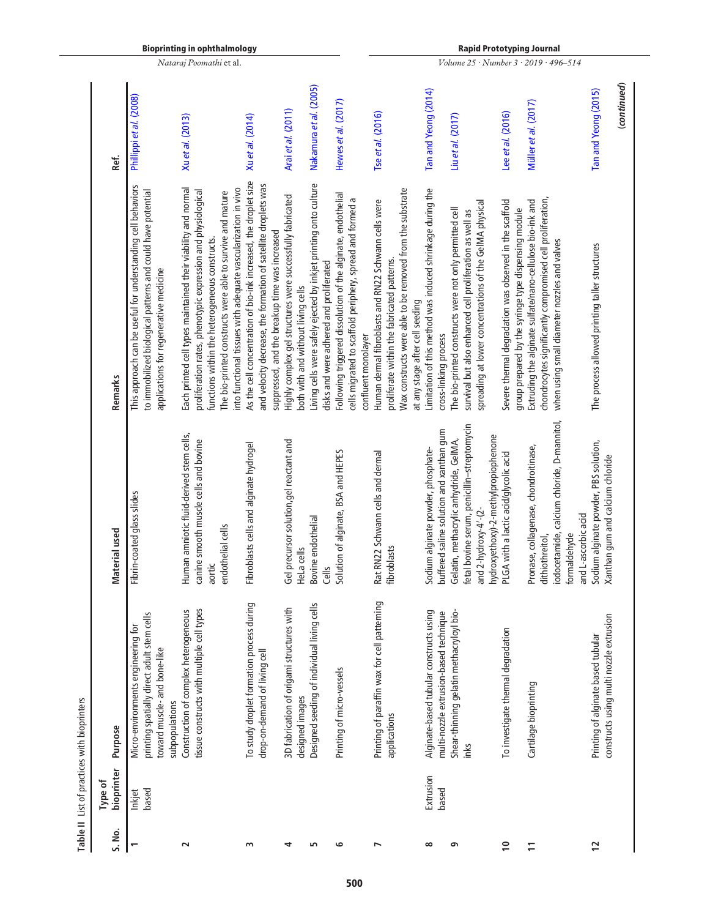|                       |                                                                                                                                                                       | Nataraj Poomathi et al.                                                                                                                                                                                                                                                                                        |                                                                                                                                                                                      |                                                                                                  |                                                                                                             |                                                                                                                                                  |                                                                                                                                                                                                     |                                                                                |                                                                                                                                                                                                         |                                                                               | Volume 25 · Number 3 · 2019 · 496-514                                                                                                                                                                                           |                                                                                                                  |             |
|-----------------------|-----------------------------------------------------------------------------------------------------------------------------------------------------------------------|----------------------------------------------------------------------------------------------------------------------------------------------------------------------------------------------------------------------------------------------------------------------------------------------------------------|--------------------------------------------------------------------------------------------------------------------------------------------------------------------------------------|--------------------------------------------------------------------------------------------------|-------------------------------------------------------------------------------------------------------------|--------------------------------------------------------------------------------------------------------------------------------------------------|-----------------------------------------------------------------------------------------------------------------------------------------------------------------------------------------------------|--------------------------------------------------------------------------------|---------------------------------------------------------------------------------------------------------------------------------------------------------------------------------------------------------|-------------------------------------------------------------------------------|---------------------------------------------------------------------------------------------------------------------------------------------------------------------------------------------------------------------------------|------------------------------------------------------------------------------------------------------------------|-------------|
| Ref.                  | Phillippi et al. (2008)                                                                                                                                               | Xuetal. (2013)                                                                                                                                                                                                                                                                                                 | Xuetal. (2014)                                                                                                                                                                       | Arai et al. (2011)                                                                               | Nakamura et al. (2005)                                                                                      | Hewes et al. (2017)                                                                                                                              | Tse et al. (2016)                                                                                                                                                                                   | Tan and Yeong (2014)                                                           | Liu et al. (2017)                                                                                                                                                                                       | Lee et al. $(2016)$                                                           | Müller et al. (2017)                                                                                                                                                                                                            | Tan and Yeong (2015)                                                                                             | (continued) |
| Remarks               | This approach can be useful for understanding cell behaviors<br>to immobilized biological patterns and could have potential<br>applications for regenerative medicine | Each printed cell types maintained their viability and normal<br>into functional tissues with adequate vascularization in vivo<br>proliferation rates, phenotypic expression and physiological<br>The bio-printed constructs were able to survive and mature<br>functions within the heterogeneous constructs. | As the cell concentration of bio-ink increased, the droplet size<br>and velocity decrease, the formation of satellite droplets was<br>suppressed, and the breakup time was increased | Highly complex gel structures were successfully fabricated<br>both with and without living cells | Living cells were safely ejected by inkjet printing onto culture<br>disks and were adhered and proliferated | Following triggered dissolution of the alginate, endothelial<br>cells migrated to scaffold periphery, spread and formed a<br>confluent monolayer | Wax constructs were able to be removed from the substrate<br>Human dermal fibroblasts and RN22 Schwann cells were<br>proliferate within the fabricated patterns.<br>at any stage after cell seeding | Limitation of this method was induced shrinkage during the                     | spreading at lower concentrations of the GeIMA physical<br>The bio-printed constructs were not only permitted cell<br>survival but also enhanced cell proliferation as well as<br>cross-linking process | Severe thermal degradation was observed in the scaffold                       | chondrocytes significantly compromised cell proliferation,<br>Extruding the alginate sulfate/nano-cellulose bio-ink and<br>group prepared by the syringe type dispensing module<br>when using small diameter nozzles and valves | The process allowed printing taller structures                                                                   |             |
| laterial used<br>≥    | Fibrin-coated glass slides                                                                                                                                            | Human amniotic fluid-derived stem cells,<br>canine smooth muscle cells and bovine<br>endothelial cells<br>aortic                                                                                                                                                                                               | Fibroblasts cells and alginate hydrogel                                                                                                                                              | Gel precursor solution, gel reactant and<br>HeLa cells                                           | Bovine endothelial<br>Cells                                                                                 | Solution of alginate, BSA and HEPES                                                                                                              | Rat RN22 Schwann cells and dermal<br>fibroblasts                                                                                                                                                    | Sodium alginate powder, phosphate-<br>buffered saline solution and xanthan gum | fetal bovine serum, penicillin-streptomycin<br>Gelatin, methacrylic anhydride, GelMA,<br>and $2$ -hydroxy- $4'$ - $(2$ -                                                                                | hydroxyethoxy)-2-methylpropiophenone<br>PLGA with a lactic acid/glycolic acid | iodocetamide, calcium chloride, D-mannitol,<br>Pronase, collagenase, chondroitinase,<br>dithiothreitol,                                                                                                                         | Sodium alginate powder, PBS solution,<br>Xanthan gum and calcium chloride<br>and L-ascorbic acid<br>formaldehyde |             |
| <b>Purpose</b>        | printing spatially direct adult stem cells<br>Micro-environments engineering for<br>toward muscle- and bone-like<br>subpopulations                                    | tissue constructs with multiple cell types<br>Construction of complex heterogeneous                                                                                                                                                                                                                            | To study droplet formation process during<br>drop-on-demand of living cell                                                                                                           | 3D fabrication of origami structures with<br>designed images                                     | Designed seeding of individual living cells                                                                 | Printing of micro-vessels                                                                                                                        | Printing of paraffin wax for cell patterning<br>applications                                                                                                                                        | Alginate-based tubular constructs using                                        | Shear-thinning gelatin methacryloyl bio-<br>multi-nozzle extrusion-based technique<br>inks                                                                                                              | To investigate thermal degradation                                            | Cartilage bioprinting                                                                                                                                                                                                           | constructs using multi nozzle extrusion<br>Printing of alginate based tubular                                    |             |
| bioprinter<br>Type of | Inkjet<br>based                                                                                                                                                       |                                                                                                                                                                                                                                                                                                                |                                                                                                                                                                                      |                                                                                                  |                                                                                                             |                                                                                                                                                  |                                                                                                                                                                                                     | Extrusion                                                                      | based                                                                                                                                                                                                   |                                                                               |                                                                                                                                                                                                                                 |                                                                                                                  |             |
| S. No.                |                                                                                                                                                                       | $\sim$                                                                                                                                                                                                                                                                                                         | m                                                                                                                                                                                    | 4                                                                                                | 5                                                                                                           | ڡ                                                                                                                                                |                                                                                                                                                                                                     | $\infty$                                                                       | െ                                                                                                                                                                                                       | $\overline{a}$                                                                |                                                                                                                                                                                                                                 | $\overline{c}$                                                                                                   |             |

500

Table II List of practices with bioprinters

Table II List of practices with bioprinters

Rapid Prototyping Journal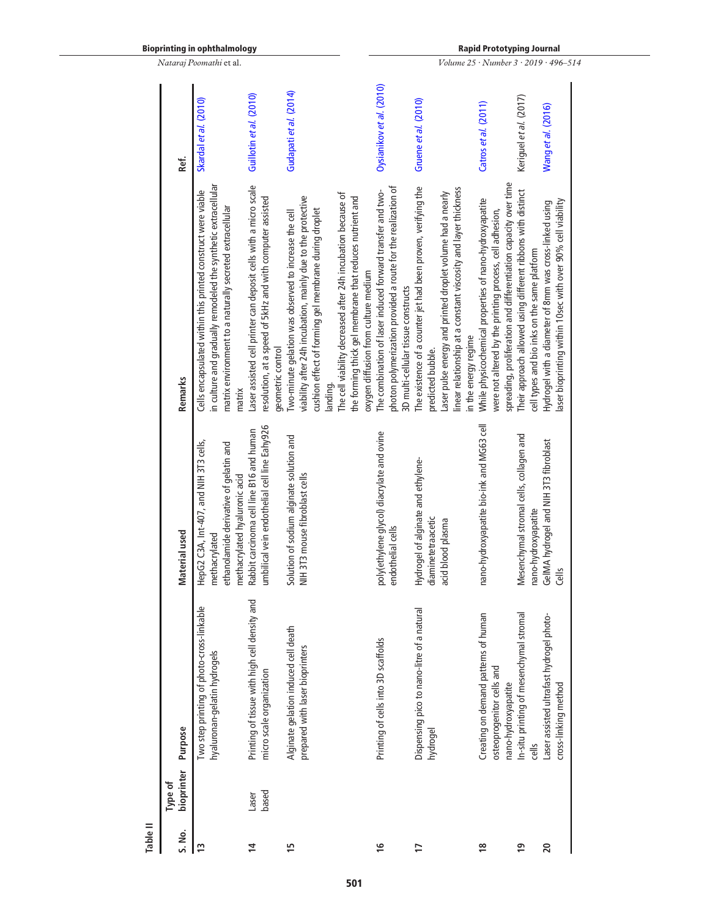|                         |                       | <b>Bioprinting in ophthalmology</b>                                                                                                                                                                  |                                                                                                                                                    |                                                                                                                                                                                            |                                                                                                                                                                  |                                                                                                                                                                    |                                                                                    |                                                                                                                                                       | <b>Rapid Prototyping Journal</b>                                                                                                                                                       |                                                                                                              |                                                                                                                      |
|-------------------------|-----------------------|------------------------------------------------------------------------------------------------------------------------------------------------------------------------------------------------------|----------------------------------------------------------------------------------------------------------------------------------------------------|--------------------------------------------------------------------------------------------------------------------------------------------------------------------------------------------|------------------------------------------------------------------------------------------------------------------------------------------------------------------|--------------------------------------------------------------------------------------------------------------------------------------------------------------------|------------------------------------------------------------------------------------|-------------------------------------------------------------------------------------------------------------------------------------------------------|----------------------------------------------------------------------------------------------------------------------------------------------------------------------------------------|--------------------------------------------------------------------------------------------------------------|----------------------------------------------------------------------------------------------------------------------|
| Nataraj Poomathi et al. |                       |                                                                                                                                                                                                      |                                                                                                                                                    |                                                                                                                                                                                            | Volume $25 \cdot$ Number $3 \cdot 2019 \cdot 496$                                                                                                                |                                                                                                                                                                    |                                                                                    |                                                                                                                                                       |                                                                                                                                                                                        |                                                                                                              |                                                                                                                      |
|                         | Ref.                  | Skardal et al. (2010)                                                                                                                                                                                | Guillotin et al. (2010)                                                                                                                            | Gudapati et al. (2014)                                                                                                                                                                     |                                                                                                                                                                  | Oysianikov et al. (2010)                                                                                                                                           | Gruene et al. (2010)                                                               |                                                                                                                                                       | Catros et al. (2011)                                                                                                                                                                   | Keriguel et al. (2017)                                                                                       | Wang et al. (2016)                                                                                                   |
|                         | Remarks               | in culture and gradually remodeled the synthetic extracellular<br>Cells encapsulated within this printed construct were viable<br>matrix environment to a naturally secreted extracellular<br>matrix | Laser assisted cell printer can deposit cells with a micro scale<br>resolution, at a speed of 5kHz and with computer assisted<br>geometric control | viability after 24h incubation, mainly due to the protective<br>cushion effect of forming gel membrane during droplet<br>Two-minute gelation was observed to increase the cell<br>landing. | The cell viability decreased after 24h incubation because of<br>the forming thick gel membrane that reduces nutrient and<br>oxygen diffusion from culture medium | photon polymerization provided a route for the realization of<br>The combination of laser induced forward transfer and two-<br>3D multi-cellular tissue constructs | The existence of a counter jet had been proven, verifying the<br>predicted bubble. | linear relationship at a constant viscosity and layer thickness<br>Laser pulse energy and printed droplet volume had a nearly<br>in the energy regime | spreading, proliferation and differentiation capacity over time<br>While physicochemical properties of nano-hydroxyapatite<br>were not altered by the printing process, cell adhesion, | Their approach allowed using different ribbons with distinct<br>cell types and bio inks on the same platform | aser bioprinting within 10sec with over 90% cell viability<br>Hydrogel with a diameter of 8mm was cross-linked using |
|                         | Material used         | HepG2 C3A, Int-407, and NIH 3T3 cells,<br>ethanolamide derivative of gelatin and<br>methacrylated hyaluronic acid<br>methacrylated                                                                   | umbilical vein endothelial cell line Eahy926<br>Rabbit carcinoma cell line B16 and human                                                           | Solution of sodium alginate solution and<br>NIH 3T3 mouse fibroblast cells                                                                                                                 |                                                                                                                                                                  | poly(ethylene glycol) diacrylate and ovine<br>endothelial cells                                                                                                    | Hydrogel of alginate and ethylene-<br>diaminetetraacetic                           | acid blood plasma                                                                                                                                     | nano-hydroxyapatite bio-ink and MG63 cell                                                                                                                                              | Mesenchymal stromal cells, collagen and<br>nano-hydroxyapatite                                               | GeIMA hydrogel and NIH 3T3 fibroblast<br>Cells                                                                       |
|                         | Purpose               | Two step printing of photo-cross-linkable<br>hyaluronan-gelatin hydrogels                                                                                                                            | Printing of tissue with high cell density and<br>micro scale organization                                                                          | Alginate gelation induced cell death<br>prepared with laser bioprinters                                                                                                                    |                                                                                                                                                                  | Printing of cells into 3D scaffolds                                                                                                                                | Dispensing pico to nano-litre of a natural<br>hydrogel                             |                                                                                                                                                       | Creating on demand patterns of human<br>osteoprogenitor cells and<br>nano-hydroxyapatite                                                                                               | In-situ printing of mesenchymal stromal<br>cells                                                             | Laser assisted ultrafast hydrogel photo-<br>cross-linking method                                                     |
|                         | bioprinter<br>Type of |                                                                                                                                                                                                      | based<br>Laser                                                                                                                                     |                                                                                                                                                                                            |                                                                                                                                                                  |                                                                                                                                                                    |                                                                                    |                                                                                                                                                       |                                                                                                                                                                                        |                                                                                                              |                                                                                                                      |
| Table II                | S. No.                | $\tilde{1}$                                                                                                                                                                                          | $\overline{4}$                                                                                                                                     | $\overline{1}$                                                                                                                                                                             |                                                                                                                                                                  | ٵ                                                                                                                                                                  | $\overline{1}$                                                                     |                                                                                                                                                       | $\frac{8}{10}$                                                                                                                                                                         | $\overline{e}$                                                                                               | 20                                                                                                                   |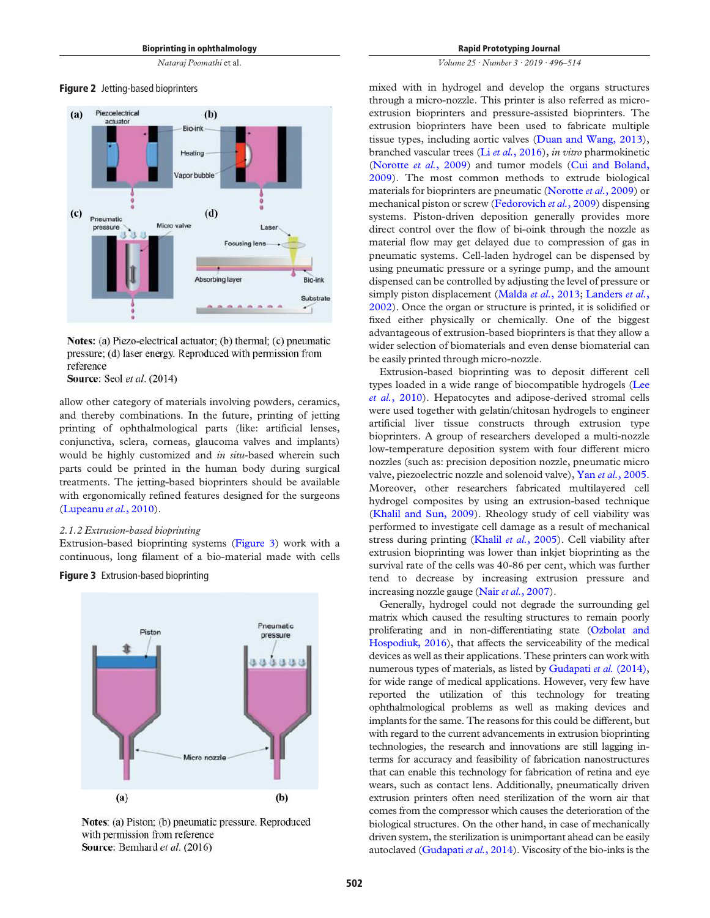Figure 2 Jetting-based bioprinters



Notes: (a) Piezo-electrical actuator; (b) thermal; (c) pneumatic pressure; (d) laser energy. Reproduced with permission from reference

Source: Seol et al. (2014)

allow other category of materials involving powders, ceramics, and thereby combinations. In the future, printing of jetting printing of ophthalmological parts (like: artificial lenses, conjunctiva, sclera, corneas, glaucoma valves and implants) would be highly customized and *in situ*-based wherein such parts could be printed in the human body during surgical treatments. The jetting-based bioprinters should be available with ergonomically refined features designed for the surgeons (Lupeanu *et al.*, 2010).

## *2.1.2 Extrusion-based bioprinting*

Extrusion-based bioprinting systems (Figure 3) work with a continuous, long filament of a bio-material made with cells

**Figure 3** Extrusion-based bioprinting



Notes: (a) Piston; (b) pneumatic pressure. Reproduced with permission from reference Source: Bernhard et al. (2016)

## *Volume 25 · Number 3 · 2019 · 496*–*514*

mixed with in hydrogel and develop the organs structures through a micro-nozzle. This printer is also referred as microextrusion bioprinters and pressure-assisted bioprinters. The extrusion bioprinters have been used to fabricate multiple tissue types, including aortic valves (Duan and Wang, 2013), branched vascular trees (Li *et al.*, 2016), *in vitro* pharmokinetic (Norotte *et al.*, 2009) and tumor models (Cui and Boland, 2009). The most common methods to extrude biological materials for bioprinters are pneumatic (Norotte *et al.*, 2009) or mechanical piston or screw (Fedorovich *et al.*, 2009) dispensing systems. Piston-driven deposition generally provides more direct control over the flow of bi-oink through the nozzle as material flow may get delayed due to compression of gas in pneumatic systems. Cell-laden hydrogel can be dispensed by using pneumatic pressure or a syringe pump, and the amount dispensed can be controlled by adjusting the level of pressure or simply piston displacement (Malda *et al.*, 2013; Landers *et al.*, 2002). Once the organ or structure is printed, it is solidified or fixed either physically or chemically. One of the biggest advantageous of extrusion-based bioprinters is that they allow a wider selection of biomaterials and even dense biomaterial can be easily printed through micro-nozzle.

Extrusion-based bioprinting was to deposit different cell types loaded in a wide range of biocompatible hydrogels (Lee *et al.*, 2010). Hepatocytes and adipose-derived stromal cells were used together with gelatin/chitosan hydrogels to engineer artificial liver tissue constructs through extrusion type bioprinters. A group of researchers developed a multi-nozzle low-temperature deposition system with four different micro nozzles (such as: precision deposition nozzle, pneumatic micro valve, piezoelectric nozzle and solenoid valve), Yan *et al.*, 2005. Moreover, other researchers fabricated multilayered cell hydrogel composites by using an extrusion-based technique (Khalil and Sun, 2009). Rheology study of cell viability was performed to investigate cell damage as a result of mechanical stress during printing (Khalil *et al.*, 2005). Cell viability after extrusion bioprinting was lower than inkjet bioprinting as the survival rate of the cells was 40-86 per cent, which was further tend to decrease by increasing extrusion pressure and increasing nozzle gauge (Nair*et al.*, 2007).

Generally, hydrogel could not degrade the surrounding gel matrix which caused the resulting structures to remain poorly proliferating and in non-differentiating state (Ozbolat and Hospodiuk, 2016), that affects the serviceability of the medical devices as well as their applications. These printers can work with numerous types of materials, as listed by Gudapati *et al.* (2014), for wide range of medical applications. However, very few have reported the utilization of this technology for treating ophthalmological problems as well as making devices and implants for the same. The reasons for this could be different, but with regard to the current advancements in extrusion bioprinting technologies, the research and innovations are still lagging interms for accuracy and feasibility of fabrication nanostructures that can enable this technology for fabrication of retina and eye wears, such as contact lens. Additionally, pneumatically driven extrusion printers often need sterilization of the worn air that comes from the compressor which causes the deterioration of the biological structures. On the other hand, in case of mechanically driven system, the sterilization is unimportant ahead can be easily autoclaved (Gudapati *et al.*, 2014). Viscosity of the bio-inks is the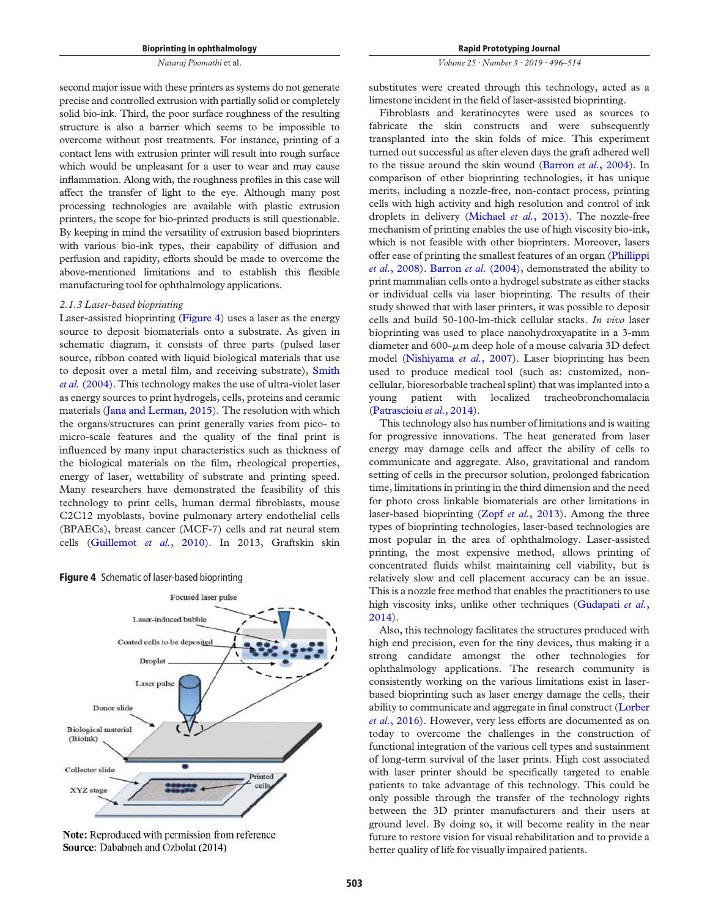second major issue with these printers as systems do not generate precise and controlled extrusion with partially solid or completely solid bio-ink. Third, the poor surface roughness of the resulting structure is also a barrier which seems to be impossible to overcome without post treatments. For instance, printing of a contact lens with extrusion printer will result into rough surface which would be unpleasant for a user to wear and may cause inflammation. Along with, the roughness profiles in this case will affect the transfer of light to the eye. Although many post processing technologies are available with plastic extrusion printers, the scope for bio-printed products is still questionable. By keeping in mind the versatility of extrusion based bioprinters with various bio-ink types, their capability of diffusion and perfusion and rapidity, efforts should be made to overcome the above-mentioned limitations and to establish this flexible manufacturing tool for ophthalmology applications.

#### *2.1.3 Laser-based bioprinting*

Laser-assisted bioprinting (Figure 4) uses a laser as the energy source to deposit biomaterials onto a substrate. As given in schematic diagram, it consists of three parts (pulsed laser source, ribbon coated with liquid biological materials that use to deposit over a metal film, and receiving substrate), Smith *et al.* (2004). This technology makes the use of ultra-violet laser as energy sources to print hydrogels, cells, proteins and ceramic materials (Jana and Lerman, 2015). The resolution with which the organs/structures can print generally varies from pico- to micro-scale features and the quality of the final print is influenced by many input characteristics such as thickness of the biological materials on the film, rheological properties, energy of laser, wettability of substrate and printing speed. Many researchers have demonstrated the feasibility of this technology to print cells, human dermal fibroblasts, mouse C2C12 myoblasts, bovine pulmonary artery endothelial cells (BPAECs), breast cancer (MCF-7) cells and rat neural stem cells (Guillemot *et al.*, 2010). In 2013, Graftskin skin

## Figure 4 Schematic of laser-based bioprinting



Note: Reproduced with permission from reference Source: Dababneh and Ozbolat (2014)

## *Volume 25 · Number 3 · 2019 · 496*–*514*

substitutes were created through this technology, acted as a limestone incident in the field of laser-assisted bioprinting.

Fibroblasts and keratinocytes were used as sources to fabricate the skin constructs and were subsequently transplanted into the skin folds of mice. This experiment turned out successful as after eleven days the graft adhered well to the tissue around the skin wound (Barron *et al.*, 2004). In comparison of other bioprinting technologies, it has unique merits, including a nozzle-free, non-contact process, printing cells with high activity and high resolution and control of ink droplets in delivery (Michael *et al.*, 2013). The nozzle-free mechanism of printing enables the use of high viscosity bio-ink, which is not feasible with other bioprinters. Moreover, lasers offer ease of printing the smallest features of an organ (Phillippi *et al.*, 2008). Barron *et al.* (2004), demonstrated the ability to print mammalian cells onto a hydrogel substrate as either stacks or individual cells via laser bioprinting. The results of their study showed that with laser printers, it was possible to deposit cells and build 50-100-lm-thick cellular stacks. *In vivo* laser bioprinting was used to place nanohydroxyapatite in a 3-mm diameter and 600- $\mu$ m deep hole of a mouse calvaria 3D defect model (Nishiyama *et al.*, 2007). Laser bioprinting has been used to produce medical tool (such as: customized, noncellular, bioresorbable tracheal splint) that was implanted into a young patient with localized tracheobronchomalacia (Patrascioiu *et al.*, 2014).

This technology also has number of limitations and is waiting for progressive innovations. The heat generated from laser energy may damage cells and affect the ability of cells to communicate and aggregate. Also, gravitational and random setting of cells in the precursor solution, prolonged fabrication time, limitations in printing in the third dimension and the need for photo cross linkable biomaterials are other limitations in laser-based bioprinting (Zopf *et al.*, 2013). Among the three types of bioprinting technologies, laser-based technologies are most popular in the area of ophthalmology. Laser-assisted printing, the most expensive method, allows printing of concentrated fluids whilst maintaining cell viability, but is relatively slow and cell placement accuracy can be an issue. This is a nozzle free method that enables the practitioners to use high viscosity inks, unlike other techniques (Gudapati *et al.*, 2014).

Also, this technology facilitates the structures produced with high end precision, even for the tiny devices, thus making it a strong candidate amongst the other technologies for ophthalmology applications. The research community is consistently working on the various limitations exist in laserbased bioprinting such as laser energy damage the cells, their ability to communicate and aggregate in final construct (Lorber *et al.*, 2016). However, very less efforts are documented as on today to overcome the challenges in the construction of functional integration of the various cell types and sustainment of long-term survival of the laser prints. High cost associated with laser printer should be specifically targeted to enable patients to take advantage of this technology. This could be only possible through the transfer of the technology rights between the 3D printer manufacturers and their users at ground level. By doing so, it will become reality in the near future to restore vision for visual rehabilitation and to provide a better quality of life for visually impaired patients.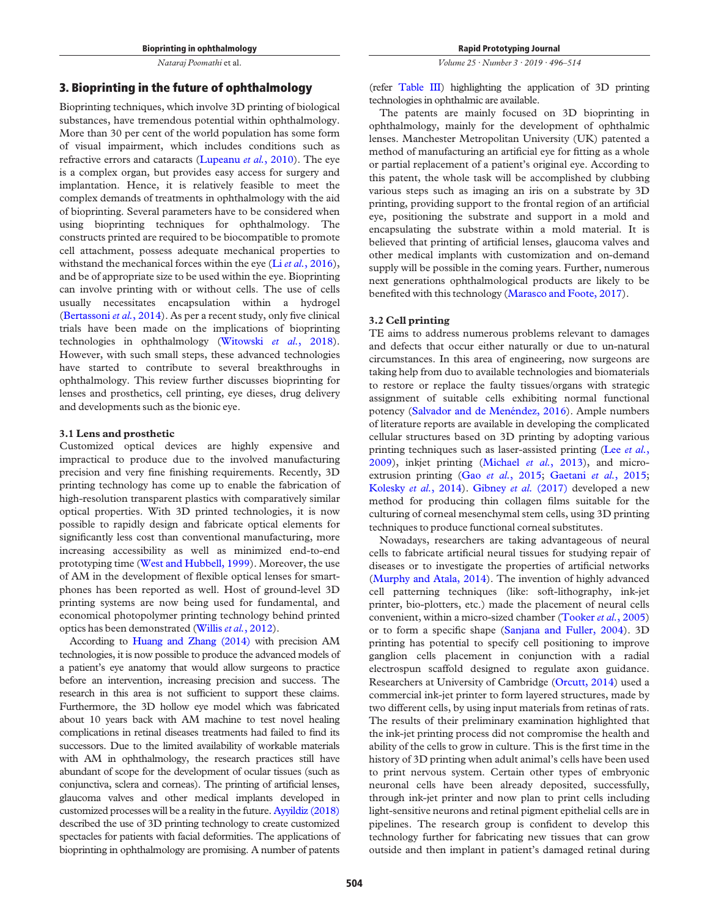# 3. Bioprinting in the future of ophthalmology

Bioprinting techniques, which involve 3D printing of biological substances, have tremendous potential within ophthalmology. More than 30 per cent of the world population has some form of visual impairment, which includes conditions such as refractive errors and cataracts (Lupeanu *et al.*, 2010). The eye is a complex organ, but provides easy access for surgery and implantation. Hence, it is relatively feasible to meet the complex demands of treatments in ophthalmology with the aid of bioprinting. Several parameters have to be considered when using bioprinting techniques for ophthalmology. The constructs printed are required to be biocompatible to promote cell attachment, possess adequate mechanical properties to withstand the mechanical forces within the eye (Li *et al.*, 2016), and be of appropriate size to be used within the eye. Bioprinting can involve printing with or without cells. The use of cells usually necessitates encapsulation within a hydrogel (Bertassoni *et al.*, 2014). As per a recent study, only five clinical trials have been made on the implications of bioprinting technologies in ophthalmology (Witowski *et al.*, 2018). However, with such small steps, these advanced technologies have started to contribute to several breakthroughs in ophthalmology. This review further discusses bioprinting for lenses and prosthetics, cell printing, eye dieses, drug delivery and developments such as the bionic eye.

## 3.1 Lens and prosthetic

Customized optical devices are highly expensive and impractical to produce due to the involved manufacturing precision and very fine finishing requirements. Recently, 3D printing technology has come up to enable the fabrication of high-resolution transparent plastics with comparatively similar optical properties. With 3D printed technologies, it is now possible to rapidly design and fabricate optical elements for significantly less cost than conventional manufacturing, more increasing accessibility as well as minimized end-to-end prototyping time (West and Hubbell, 1999). Moreover, the use of AM in the development of flexible optical lenses for smartphones has been reported as well. Host of ground-level 3D printing systems are now being used for fundamental, and economical photopolymer printing technology behind printed optics has been demonstrated (Willis*et al.*, 2012).

According to Huang and Zhang (2014) with precision AM technologies, it is now possible to produce the advanced models of a patient's eye anatomy that would allow surgeons to practice before an intervention, increasing precision and success. The research in this area is not sufficient to support these claims. Furthermore, the 3D hollow eye model which was fabricated about 10 years back with AM machine to test novel healing complications in retinal diseases treatments had failed to find its successors. Due to the limited availability of workable materials with AM in ophthalmology, the research practices still have abundant of scope for the development of ocular tissues (such as conjunctiva, sclera and corneas). The printing of artificial lenses, glaucoma valves and other medical implants developed in customized processes will be a reality in the future. Ayyildiz (2018) described the use of 3D printing technology to create customized spectacles for patients with facial deformities. The applications of bioprinting in ophthalmology are promising. A number of patents

*Volume 25 · Number 3 · 2019 · 496*–*514*

(refer Table III) highlighting the application of 3D printing technologies in ophthalmic are available.

The patents are mainly focused on 3D bioprinting in ophthalmology, mainly for the development of ophthalmic lenses. Manchester Metropolitan University (UK) patented a method of manufacturing an artificial eye for fitting as a whole or partial replacement of a patient's original eye. According to this patent, the whole task will be accomplished by clubbing various steps such as imaging an iris on a substrate by 3D printing, providing support to the frontal region of an artificial eye, positioning the substrate and support in a mold and encapsulating the substrate within a mold material. It is believed that printing of artificial lenses, glaucoma valves and other medical implants with customization and on-demand supply will be possible in the coming years. Further, numerous next generations ophthalmological products are likely to be benefited with this technology (Marasco and Foote, 2017).

## 3.2 Cell printing

TE aims to address numerous problems relevant to damages and defects that occur either naturally or due to un-natural circumstances. In this area of engineering, now surgeons are taking help from duo to available technologies and biomaterials to restore or replace the faulty tissues/organs with strategic assignment of suitable cells exhibiting normal functional potency (Salvador and de Menéndez, 2016). Ample numbers of literature reports are available in developing the complicated cellular structures based on 3D printing by adopting various printing techniques such as laser-assisted printing (Lee *et al.*, 2009), inkjet printing (Michael *et al.*, 2013), and microextrusion printing (Gao *et al.*, 2015; Gaetani *et al.*, 2015; Kolesky *et al.*, 2014). Gibney *et al.* (2017) developed a new method for producing thin collagen films suitable for the culturing of corneal mesenchymal stem cells, using 3D printing techniques to produce functional corneal substitutes.

Nowadays, researchers are taking advantageous of neural cells to fabricate artificial neural tissues for studying repair of diseases or to investigate the properties of artificial networks (Murphy and Atala, 2014). The invention of highly advanced cell patterning techniques (like: soft-lithography, ink-jet printer, bio-plotters, etc.) made the placement of neural cells convenient, within a micro-sized chamber (Tooker *et al.*, 2005) or to form a specific shape (Sanjana and Fuller, 2004). 3D printing has potential to specify cell positioning to improve ganglion cells placement in conjunction with a radial electrospun scaffold designed to regulate axon guidance. Researchers at University of Cambridge (Orcutt, 2014) used a commercial ink-jet printer to form layered structures, made by two different cells, by using input materials from retinas of rats. The results of their preliminary examination highlighted that the ink-jet printing process did not compromise the health and ability of the cells to grow in culture. This is the first time in the history of 3D printing when adult animal's cells have been used to print nervous system. Certain other types of embryonic neuronal cells have been already deposited, successfully, through ink-jet printer and now plan to print cells including light-sensitive neurons and retinal pigment epithelial cells are in pipelines. The research group is confident to develop this technology further for fabricating new tissues that can grow outside and then implant in patient's damaged retinal during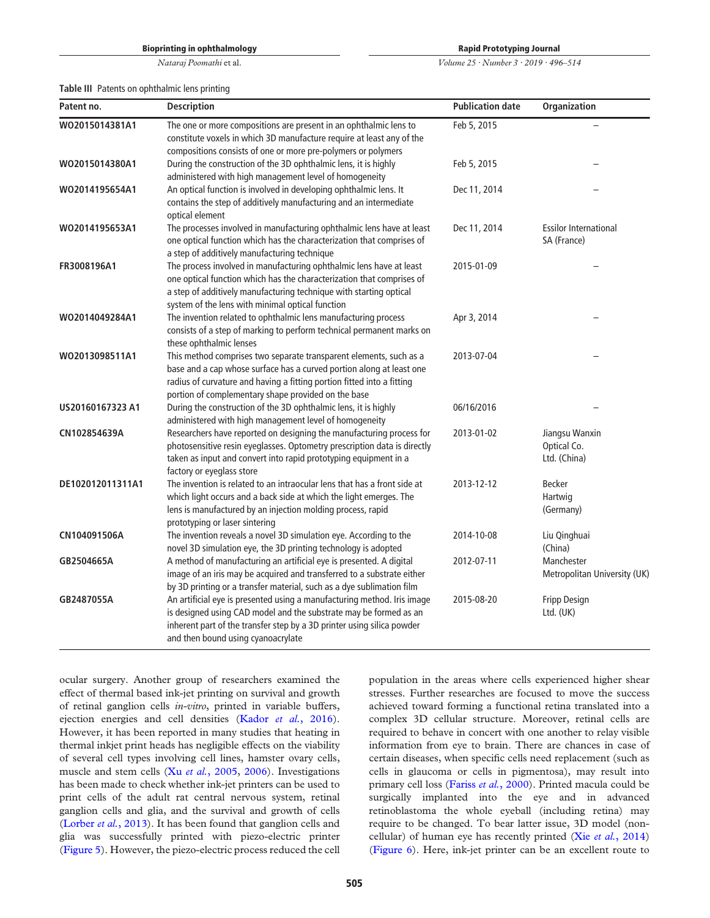*Nataraj Poomathi* et al.

Rapid Prototyping Journal

*Volume 25 · Number 3 · 2019 · 496*–*514*

Table III Patents on ophthalmic lens printing

| Patent no.       | <b>Description</b>                                                                                                                                                                                                                                                          | <b>Publication date</b> | Organization                                  |
|------------------|-----------------------------------------------------------------------------------------------------------------------------------------------------------------------------------------------------------------------------------------------------------------------------|-------------------------|-----------------------------------------------|
| W02015014381A1   | The one or more compositions are present in an ophthalmic lens to<br>constitute voxels in which 3D manufacture require at least any of the<br>compositions consists of one or more pre-polymers or polymers                                                                 | Feb 5, 2015             |                                               |
| WO2015014380A1   | During the construction of the 3D ophthalmic lens, it is highly<br>administered with high management level of homogeneity                                                                                                                                                   | Feb 5, 2015             |                                               |
| WO2014195654A1   | An optical function is involved in developing ophthalmic lens. It<br>contains the step of additively manufacturing and an intermediate<br>optical element                                                                                                                   | Dec 11, 2014            |                                               |
| W02014195653A1   | The processes involved in manufacturing ophthalmic lens have at least<br>one optical function which has the characterization that comprises of<br>a step of additively manufacturing technique                                                                              | Dec 11, 2014            | <b>Essilor International</b><br>SA (France)   |
| FR3008196A1      | The process involved in manufacturing ophthalmic lens have at least<br>one optical function which has the characterization that comprises of<br>a step of additively manufacturing technique with starting optical<br>system of the lens with minimal optical function      | 2015-01-09              |                                               |
| WO2014049284A1   | The invention related to ophthalmic lens manufacturing process<br>consists of a step of marking to perform technical permanent marks on<br>these ophthalmic lenses                                                                                                          | Apr 3, 2014             |                                               |
| WO2013098511A1   | This method comprises two separate transparent elements, such as a<br>base and a cap whose surface has a curved portion along at least one<br>radius of curvature and having a fitting portion fitted into a fitting<br>portion of complementary shape provided on the base | 2013-07-04              |                                               |
| US20160167323 A1 | During the construction of the 3D ophthalmic lens, it is highly<br>administered with high management level of homogeneity                                                                                                                                                   | 06/16/2016              |                                               |
| CN102854639A     | Researchers have reported on designing the manufacturing process for<br>photosensitive resin eyeglasses. Optometry prescription data is directly<br>taken as input and convert into rapid prototyping equipment in a<br>factory or eyeglass store                           | 2013-01-02              | Jiangsu Wanxin<br>Optical Co.<br>Ltd. (China) |
| DE102012011311A1 | The invention is related to an intraocular lens that has a front side at<br>which light occurs and a back side at which the light emerges. The<br>lens is manufactured by an injection molding process, rapid<br>prototyping or laser sintering                             | 2013-12-12              | Becker<br>Hartwig<br>(Germany)                |
| CN104091506A     | The invention reveals a novel 3D simulation eye. According to the<br>novel 3D simulation eye, the 3D printing technology is adopted                                                                                                                                         | 2014-10-08              | Liu Qinghuai<br>(China)                       |
| GB2504665A       | A method of manufacturing an artificial eye is presented. A digital<br>image of an iris may be acquired and transferred to a substrate either<br>by 3D printing or a transfer material, such as a dye sublimation film                                                      | 2012-07-11              | Manchester<br>Metropolitan University (UK)    |
| GB2487055A       | An artificial eye is presented using a manufacturing method. Iris image<br>is designed using CAD model and the substrate may be formed as an<br>inherent part of the transfer step by a 3D printer using silica powder<br>and then bound using cyanoacrylate                | 2015-08-20              | Fripp Design<br>Ltd. (UK)                     |

ocular surgery. Another group of researchers examined the effect of thermal based ink-jet printing on survival and growth of retinal ganglion cells *in-vitro*, printed in variable buffers, ejection energies and cell densities (Kador *et al.*, 2016). However, it has been reported in many studies that heating in thermal inkjet print heads has negligible effects on the viability of several cell types involving cell lines, hamster ovary cells, muscle and stem cells (Xu *et al.*, 2005, 2006). Investigations has been made to check whether ink-jet printers can be used to print cells of the adult rat central nervous system, retinal ganglion cells and glia, and the survival and growth of cells (Lorber *et al.*, 2013). It has been found that ganglion cells and glia was successfully printed with piezo-electric printer (Figure 5). However, the piezo-electric process reduced the cell population in the areas where cells experienced higher shear stresses. Further researches are focused to move the success achieved toward forming a functional retina translated into a complex 3D cellular structure. Moreover, retinal cells are required to behave in concert with one another to relay visible information from eye to brain. There are chances in case of certain diseases, when specific cells need replacement (such as cells in glaucoma or cells in pigmentosa), may result into primary cell loss (Fariss *et al.*, 2000). Printed macula could be surgically implanted into the eye and in advanced retinoblastoma the whole eyeball (including retina) may require to be changed. To bear latter issue, 3D model (noncellular) of human eye has recently printed (Xie *et al.*, 2014) (Figure 6). Here, ink-jet printer can be an excellent route to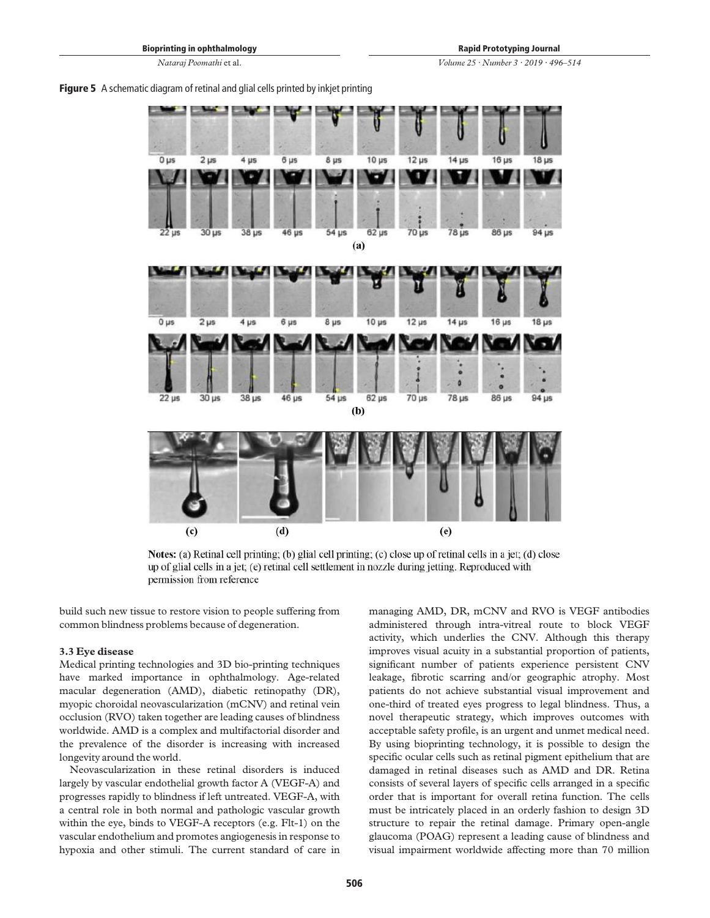*Volume 25 · Number 3 · 2019 · 496*–*514*





Notes: (a) Retinal cell printing; (b) glial cell printing; (c) close up of retinal cells in a jet; (d) close up of glial cells in a jet; (e) retinal cell settlement in nozzle during jetting. Reproduced with permission from reference

build such new tissue to restore vision to people suffering from common blindness problems because of degeneration.

# 3.3 Eye disease

Medical printing technologies and 3D bio-printing techniques have marked importance in ophthalmology. Age-related macular degeneration (AMD), diabetic retinopathy (DR), myopic choroidal neovascularization (mCNV) and retinal vein occlusion (RVO) taken together are leading causes of blindness worldwide. AMD is a complex and multifactorial disorder and the prevalence of the disorder is increasing with increased longevity around the world.

Neovascularization in these retinal disorders is induced largely by vascular endothelial growth factor A (VEGF-A) and progresses rapidly to blindness if left untreated. VEGF-A, with a central role in both normal and pathologic vascular growth within the eye, binds to VEGF-A receptors (e.g. Flt-1) on the vascular endothelium and promotes angiogenesis in response to hypoxia and other stimuli. The current standard of care in managing AMD, DR, mCNV and RVO is VEGF antibodies administered through intra-vitreal route to block VEGF activity, which underlies the CNV. Although this therapy improves visual acuity in a substantial proportion of patients, significant number of patients experience persistent CNV leakage, fibrotic scarring and/or geographic atrophy. Most patients do not achieve substantial visual improvement and one-third of treated eyes progress to legal blindness. Thus, a novel therapeutic strategy, which improves outcomes with acceptable safety profile, is an urgent and unmet medical need. By using bioprinting technology, it is possible to design the specific ocular cells such as retinal pigment epithelium that are damaged in retinal diseases such as AMD and DR. Retina consists of several layers of specific cells arranged in a specific order that is important for overall retina function. The cells must be intricately placed in an orderly fashion to design 3D structure to repair the retinal damage. Primary open-angle glaucoma (POAG) represent a leading cause of blindness and visual impairment worldwide affecting more than 70 million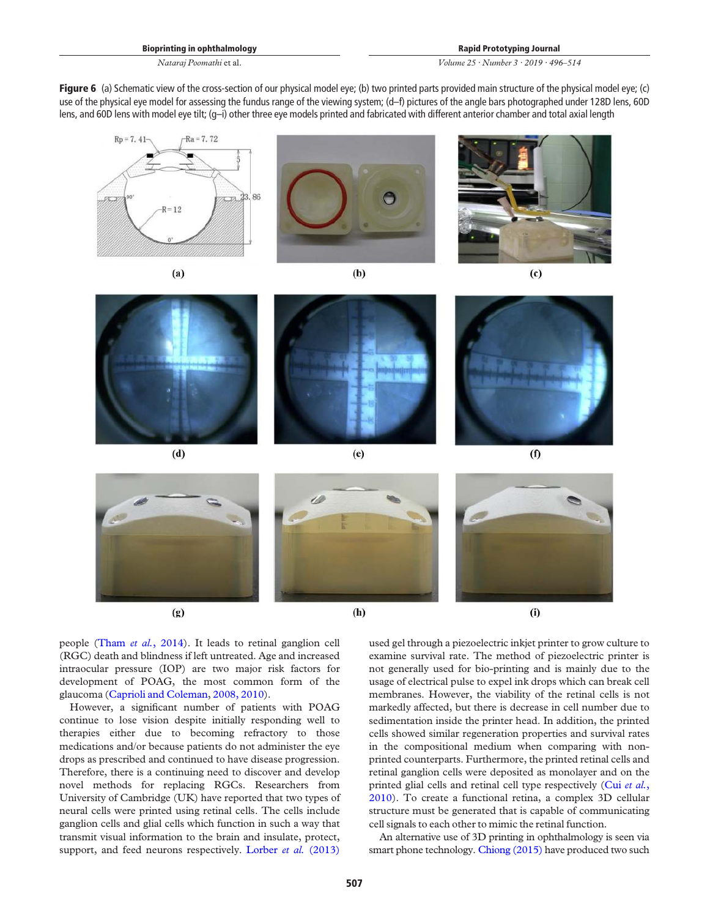Bioprinting in ophthalmology *Nataraj Poomathi* et al.

Rapid Prototyping Journal *Volume 25 · Number 3 · 2019 · 496*–*514*

Figure 6 (a) Schematic view of the cross-section of our physical model eye; (b) two printed parts provided main structure of the physical model eye; (c) use of the physical eye model for assessing the fundus range of the viewing system; (d–f) pictures of the angle bars photographed under 128D lens, 60D lens, and 60D lens with model eye tilt; (g–i) other three eye models printed and fabricated with different anterior chamber and total axial length



 $(g)$ 

 $(h)$ 

 $(i)$ 

people (Tham *et al.*, 2014). It leads to retinal ganglion cell (RGC) death and blindness if left untreated. Age and increased intraocular pressure (IOP) are two major risk factors for development of POAG, the most common form of the glaucoma (Caprioli and Coleman, 2008, 2010).

However, a significant number of patients with POAG continue to lose vision despite initially responding well to therapies either due to becoming refractory to those medications and/or because patients do not administer the eye drops as prescribed and continued to have disease progression. Therefore, there is a continuing need to discover and develop novel methods for replacing RGCs. Researchers from University of Cambridge (UK) have reported that two types of neural cells were printed using retinal cells. The cells include ganglion cells and glial cells which function in such a way that transmit visual information to the brain and insulate, protect, support, and feed neurons respectively. Lorber et al. (2013)

used gel through a piezoelectric inkjet printer to grow culture to examine survival rate. The method of piezoelectric printer is not generally used for bio-printing and is mainly due to the usage of electrical pulse to expel ink drops which can break cell membranes. However, the viability of the retinal cells is not markedly affected, but there is decrease in cell number due to sedimentation inside the printer head. In addition, the printed cells showed similar regeneration properties and survival rates in the compositional medium when comparing with nonprinted counterparts. Furthermore, the printed retinal cells and retinal ganglion cells were deposited as monolayer and on the printed glial cells and retinal cell type respectively (Cui *et al.*, 2010). To create a functional retina, a complex 3D cellular structure must be generated that is capable of communicating cell signals to each other to mimic the retinal function.

An alternative use of 3D printing in ophthalmology is seen via smart phone technology. Chiong (2015) have produced two such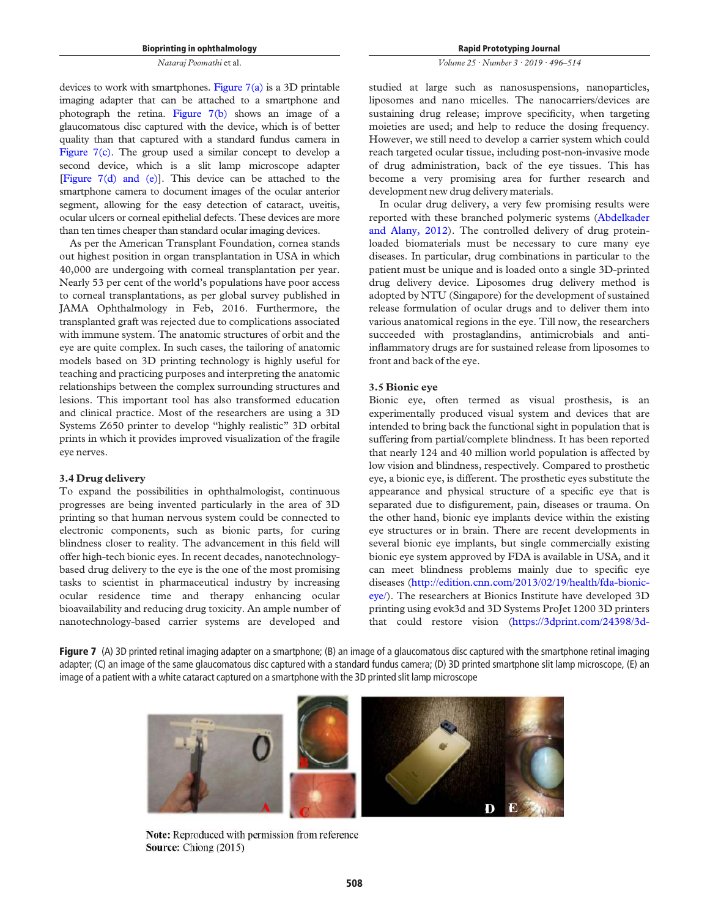devices to work with smartphones. Figure 7(a) is a 3D printable imaging adapter that can be attached to a smartphone and photograph the retina. Figure 7(b) shows an image of a glaucomatous disc captured with the device, which is of better quality than that captured with a standard fundus camera in Figure 7(c). The group used a similar concept to develop a second device, which is a slit lamp microscope adapter [Figure 7(d) and (e)]. This device can be attached to the smartphone camera to document images of the ocular anterior segment, allowing for the easy detection of cataract, uveitis, ocular ulcers or corneal epithelial defects. These devices are more than ten times cheaper than standard ocular imaging devices.

As per the American Transplant Foundation, cornea stands out highest position in organ transplantation in USA in which 40,000 are undergoing with corneal transplantation per year. Nearly 53 per cent of the world's populations have poor access to corneal transplantations, as per global survey published in JAMA Ophthalmology in Feb, 2016. Furthermore, the transplanted graft was rejected due to complications associated with immune system. The anatomic structures of orbit and the eye are quite complex. In such cases, the tailoring of anatomic models based on 3D printing technology is highly useful for teaching and practicing purposes and interpreting the anatomic relationships between the complex surrounding structures and lesions. This important tool has also transformed education and clinical practice. Most of the researchers are using a 3D Systems Z650 printer to develop "highly realistic" 3D orbital prints in which it provides improved visualization of the fragile eye nerves.

#### 3.4 Drug delivery

To expand the possibilities in ophthalmologist, continuous progresses are being invented particularly in the area of 3D printing so that human nervous system could be connected to electronic components, such as bionic parts, for curing blindness closer to reality. The advancement in this field will offer high-tech bionic eyes. In recent decades, nanotechnologybased drug delivery to the eye is the one of the most promising tasks to scientist in pharmaceutical industry by increasing ocular residence time and therapy enhancing ocular bioavailability and reducing drug toxicity. An ample number of nanotechnology-based carrier systems are developed and

## *Volume 25 · Number 3 · 2019 · 496*–*514*

studied at large such as nanosuspensions, nanoparticles, liposomes and nano micelles. The nanocarriers/devices are sustaining drug release; improve specificity, when targeting moieties are used; and help to reduce the dosing frequency. However, we still need to develop a carrier system which could reach targeted ocular tissue, including post-non-invasive mode of drug administration, back of the eye tissues. This has become a very promising area for further research and development new drug delivery materials.

In ocular drug delivery, a very few promising results were reported with these branched polymeric systems (Abdelkader and Alany, 2012). The controlled delivery of drug proteinloaded biomaterials must be necessary to cure many eye diseases. In particular, drug combinations in particular to the patient must be unique and is loaded onto a single 3D-printed drug delivery device. Liposomes drug delivery method is adopted by NTU (Singapore) for the development of sustained release formulation of ocular drugs and to deliver them into various anatomical regions in the eye. Till now, the researchers succeeded with prostaglandins, antimicrobials and antiinflammatory drugs are for sustained release from liposomes to front and back of the eye.

#### 3.5 Bionic eye

Bionic eye, often termed as visual prosthesis, is an experimentally produced visual system and devices that are intended to bring back the functional sight in population that is suffering from partial/complete blindness. It has been reported that nearly 124 and 40 million world population is affected by low vision and blindness, respectively. Compared to prosthetic eye, a bionic eye, is different. The prosthetic eyes substitute the appearance and physical structure of a specific eye that is separated due to disfigurement, pain, diseases or trauma. On the other hand, bionic eye implants device within the existing eye structures or in brain. There are recent developments in several bionic eye implants, but single commercially existing bionic eye system approved by FDA is available in USA, and it can meet blindness problems mainly due to specific eye diseases (http://edition.cnn.com/2013/02/19/health/fda-bioniceye/). The researchers at Bionics Institute have developed 3D printing using evok3d and 3D Systems ProJet 1200 3D printers that could restore vision (https://3dprint.com/24398/3d-

Figure 7 (A) 3D printed retinal imaging adapter on a smartphone; (B) an image of a glaucomatous disc captured with the smartphone retinal imaging adapter; (C) an image of the same glaucomatous disc captured with a standard fundus camera; (D) 3D printed smartphone slit lamp microscope, (E) an image of a patient with a white cataract captured on a smartphone with the 3D printed slit lamp microscope



Note: Reproduced with permission from reference Source: Chiong (2015)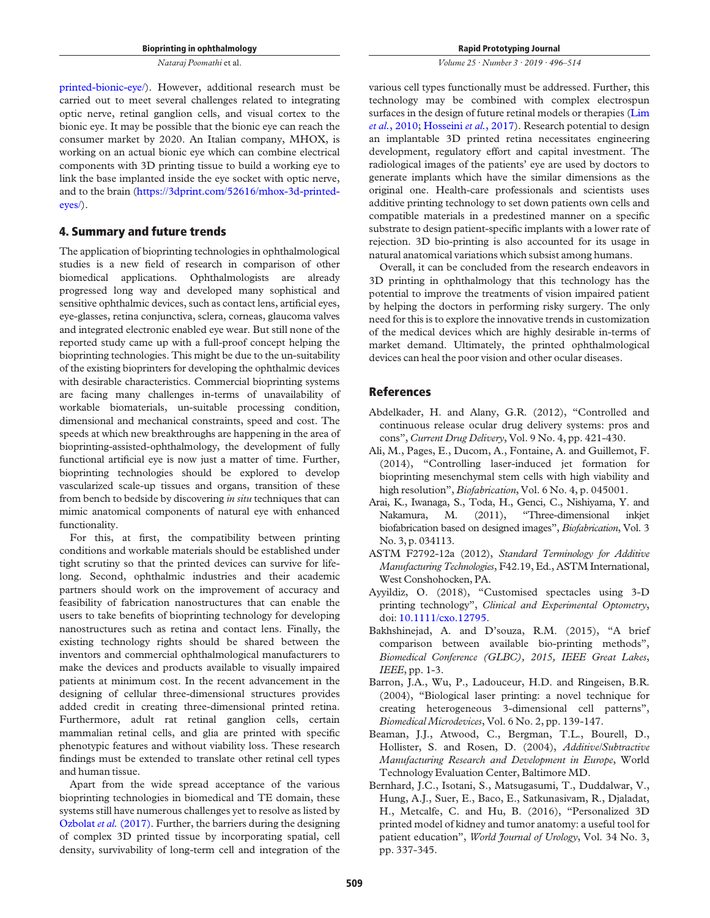*Nataraj Poomathi* et al.

printed-bionic-eye/). However, additional research must be carried out to meet several challenges related to integrating optic nerve, retinal ganglion cells, and visual cortex to the bionic eye. It may be possible that the bionic eye can reach the consumer market by 2020. An Italian company, MHOX, is working on an actual bionic eye which can combine electrical components with 3D printing tissue to build a working eye to link the base implanted inside the eye socket with optic nerve, and to the brain (https://3dprint.com/52616/mhox-3d-printedeyes/).

# 4. Summary and future trends

The application of bioprinting technologies in ophthalmological studies is a new field of research in comparison of other biomedical applications. Ophthalmologists are already progressed long way and developed many sophistical and sensitive ophthalmic devices, such as contact lens, artificial eyes, eye-glasses, retina conjunctiva, sclera, corneas, glaucoma valves and integrated electronic enabled eye wear. But still none of the reported study came up with a full-proof concept helping the bioprinting technologies. This might be due to the un-suitability of the existing bioprinters for developing the ophthalmic devices with desirable characteristics. Commercial bioprinting systems are facing many challenges in-terms of unavailability of workable biomaterials, un-suitable processing condition, dimensional and mechanical constraints, speed and cost. The speeds at which new breakthroughs are happening in the area of bioprinting-assisted-ophthalmology, the development of fully functional artificial eye is now just a matter of time. Further, bioprinting technologies should be explored to develop vascularized scale-up tissues and organs, transition of these from bench to bedside by discovering *in situ* techniques that can mimic anatomical components of natural eye with enhanced functionality.

For this, at first, the compatibility between printing conditions and workable materials should be established under tight scrutiny so that the printed devices can survive for lifelong. Second, ophthalmic industries and their academic partners should work on the improvement of accuracy and feasibility of fabrication nanostructures that can enable the users to take benefits of bioprinting technology for developing nanostructures such as retina and contact lens. Finally, the existing technology rights should be shared between the inventors and commercial ophthalmological manufacturers to make the devices and products available to visually impaired patients at minimum cost. In the recent advancement in the designing of cellular three-dimensional structures provides added credit in creating three-dimensional printed retina. Furthermore, adult rat retinal ganglion cells, certain mammalian retinal cells, and glia are printed with specific phenotypic features and without viability loss. These research findings must be extended to translate other retinal cell types and human tissue.

Apart from the wide spread acceptance of the various bioprinting technologies in biomedical and TE domain, these systems still have numerous challenges yet to resolve as listed by Ozbolat *et al.* (2017). Further, the barriers during the designing of complex 3D printed tissue by incorporating spatial, cell density, survivability of long-term cell and integration of the Rapid Prototyping Journal

*Volume 25 · Number 3 · 2019 · 496*–*514*

various cell types functionally must be addressed. Further, this technology may be combined with complex electrospun surfaces in the design of future retinal models or therapies (Lim *et al.*, 2010; Hosseini *et al.*, 2017). Research potential to design an implantable 3D printed retina necessitates engineering development, regulatory effort and capital investment. The radiological images of the patients' eye are used by doctors to generate implants which have the similar dimensions as the original one. Health-care professionals and scientists uses additive printing technology to set down patients own cells and compatible materials in a predestined manner on a specific substrate to design patient-specific implants with a lower rate of rejection. 3D bio-printing is also accounted for its usage in natural anatomical variations which subsist among humans.

Overall, it can be concluded from the research endeavors in 3D printing in ophthalmology that this technology has the potential to improve the treatments of vision impaired patient by helping the doctors in performing risky surgery. The only need for this is to explore the innovative trends in customization of the medical devices which are highly desirable in-terms of market demand. Ultimately, the printed ophthalmological devices can heal the poor vision and other ocular diseases.

# References

- Abdelkader, H. and Alany, G.R. (2012), "Controlled and continuous release ocular drug delivery systems: pros and cons", *Current Drug Delivery*, Vol. 9 No. 4, pp. 421-430.
- Ali, M., Pages, E., Ducom, A., Fontaine, A. and Guillemot, F. (2014), "Controlling laser-induced jet formation for bioprinting mesenchymal stem cells with high viability and high resolution", *Biofabrication*, Vol. 6 No. 4, p. 045001.
- Arai, K., Iwanaga, S., Toda, H., Genci, C., Nishiyama, Y. and Nakamura, M. (2011), "Three-dimensional inkjet biofabrication based on designed images", *Biofabrication*, Vol. 3 No. 3, p. 034113.
- ASTM F2792-12a (2012), *Standard Terminology for Additive Manufacturing Technologies*, F42.19, Ed., ASTM International, West Conshohocken, PA.
- Ayyildiz, O. (2018), "Customised spectacles using 3-D printing technology", *Clinical and Experimental Optometry*, doi: 10.1111/cxo.12795.
- Bakhshinejad, A. and D'souza, R.M. (2015), "A brief comparison between available bio-printing methods", *Biomedical Conference (GLBC), 2015, IEEE Great Lakes*, *IEEE*, pp. 1-3.
- Barron, J.A., Wu, P., Ladouceur, H.D. and Ringeisen, B.R. (2004), "Biological laser printing: a novel technique for creating heterogeneous 3-dimensional cell patterns", *Biomedical Microdevices*, Vol. 6 No. 2, pp. 139-147.
- Beaman, J.J., Atwood, C., Bergman, T.L., Bourell, D., Hollister, S. and Rosen, D. (2004), *Additive/Subtractive Manufacturing Research and Development in Europe*, World Technology Evaluation Center, Baltimore MD.
- Bernhard, J.C., Isotani, S., Matsugasumi, T., Duddalwar, V., Hung, A.J., Suer, E., Baco, E., Satkunasivam, R., Djaladat, H., Metcalfe, C. and Hu, B. (2016), "Personalized 3D printed model of kidney and tumor anatomy: a useful tool for patient education", *World Journal of Urology*, Vol. 34 No. 3, pp. 337-345.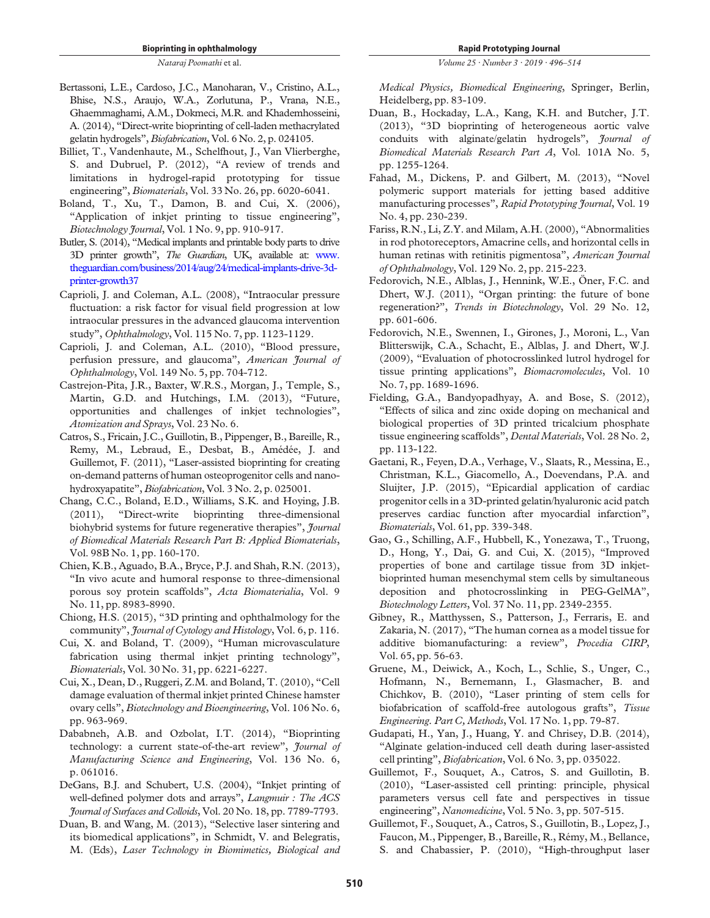- Bertassoni, L.E., Cardoso, J.C., Manoharan, V., Cristino, A.L., Bhise, N.S., Araujo, W.A., Zorlutuna, P., Vrana, N.E., Ghaemmaghami, A.M., Dokmeci, M.R. and Khademhosseini, A. (2014), "Direct-write bioprinting of cell-laden methacrylated gelatin hydrogels",*Biofabrication*, Vol. 6 No. 2, p. 024105.
- Billiet, T., Vandenhaute, M., Schelfhout, J., Van Vlierberghe, S. and Dubruel, P. (2012), "A review of trends and limitations in hydrogel-rapid prototyping for tissue engineering", *Biomaterials*, Vol. 33 No. 26, pp. 6020-6041.
- Boland, T., Xu, T., Damon, B. and Cui, X. (2006), "Application of inkjet printing to tissue engineering", *Biotechnology Journal*, Vol. 1 No. 9, pp. 910-917.
- Butler, S. (2014), "Medical implants and printable body parts to drive 3D printer growth", *The Guardian*, UK, available at: www. theguardian.com/business/2014/aug/24/medical-implants-drive-3dprinter-growth37
- Caprioli, J. and Coleman, A.L. (2008), "Intraocular pressure fluctuation: a risk factor for visual field progression at low intraocular pressures in the advanced glaucoma intervention study", *Ophthalmology*, Vol. 115 No. 7, pp. 1123-1129.
- Caprioli, J. and Coleman, A.L. (2010), "Blood pressure, perfusion pressure, and glaucoma", *American Journal of Ophthalmology*, Vol. 149 No. 5, pp. 704-712.
- Castrejon-Pita, J.R., Baxter, W.R.S., Morgan, J., Temple, S., Martin, G.D. and Hutchings, I.M. (2013), "Future, opportunities and challenges of inkjet technologies", *Atomization and Sprays*, Vol. 23 No. 6.
- Catros, S., Fricain, J.C., Guillotin, B., Pippenger, B., Bareille, R., Remy, M., Lebraud, E., Desbat, B., Amédée, J. and Guillemot, F. (2011), "Laser-assisted bioprinting for creating on-demand patterns of human osteoprogenitor cells and nanohydroxyapatite", *Biofabrication*, Vol. 3 No. 2, p. 025001.
- Chang, C.C., Boland, E.D., Williams, S.K. and Hoying, J.B. (2011), "Direct-write bioprinting three-dimensional biohybrid systems for future regenerative therapies", *Journal of Biomedical Materials Research Part B: Applied Biomaterials*, Vol. 98B No. 1, pp. 160-170.
- Chien, K.B., Aguado, B.A., Bryce, P.J. and Shah, R.N. (2013), "In vivo acute and humoral response to three-dimensional porous soy protein scaffolds", *Acta Biomaterialia*, Vol. 9 No. 11, pp. 8983-8990.
- Chiong, H.S. (2015), "3D printing and ophthalmology for the community", *Journal of Cytology and Histology*, Vol. 6, p. 116.
- Cui, X. and Boland, T. (2009), "Human microvasculature fabrication using thermal inkjet printing technology", *Biomaterials*, Vol. 30 No. 31, pp. 6221-6227.
- Cui, X., Dean, D., Ruggeri, Z.M. and Boland, T. (2010), "Cell damage evaluation of thermal inkjet printed Chinese hamster ovary cells", *Biotechnology and Bioengineering*, Vol. 106 No. 6, pp. 963-969.
- Dababneh, A.B. and Ozbolat, I.T. (2014), "Bioprinting technology: a current state-of-the-art review", *Journal of Manufacturing Science and Engineering*, Vol. 136 No. 6, p. 061016.
- DeGans, B.J. and Schubert, U.S. (2004), "Inkjet printing of well-defined polymer dots and arrays", *Langmuir : The ACS Journal of Surfaces and Colloids*, Vol. 20 No. 18, pp. 7789-7793.
- Duan, B. and Wang, M. (2013), "Selective laser sintering and its biomedical applications", in Schmidt, V. and Belegratis, M. (Eds), *Laser Technology in Biomimetics, Biological and*

*Volume 25 · Number 3 · 2019 · 496*–*514*

*Medical Physics, Biomedical Engineering*, Springer, Berlin, Heidelberg, pp. 83-109.

- Duan, B., Hockaday, L.A., Kang, K.H. and Butcher, J.T. (2013), "3D bioprinting of heterogeneous aortic valve conduits with alginate/gelatin hydrogels", *Journal of Biomedical Materials Research Part A*, Vol. 101A No. 5, pp. 1255-1264.
- Fahad, M., Dickens, P. and Gilbert, M. (2013), "Novel polymeric support materials for jetting based additive manufacturing processes", *Rapid Prototyping Journal*, Vol. 19 No. 4, pp. 230-239.
- Fariss, R.N., Li, Z.Y. and Milam, A.H. (2000), "Abnormalities in rod photoreceptors, Amacrine cells, and horizontal cells in human retinas with retinitis pigmentosa", *American Journal of Ophthalmology*, Vol. 129 No. 2, pp. 215-223.
- Fedorovich, N.E., Alblas, J., Hennink, W.E., Öner, F.C. and Dhert, W.J. (2011), "Organ printing: the future of bone regeneration?", *Trends in Biotechnology*, Vol. 29 No. 12, pp. 601-606.
- Fedorovich, N.E., Swennen, I., Girones, J., Moroni, L., Van Blitterswijk, C.A., Schacht, E., Alblas, J. and Dhert, W.J. (2009), "Evaluation of photocrosslinked lutrol hydrogel for tissue printing applications", *Biomacromolecules*, Vol. 10 No. 7, pp. 1689-1696.
- Fielding, G.A., Bandyopadhyay, A. and Bose, S. (2012), "Effects of silica and zinc oxide doping on mechanical and biological properties of 3D printed tricalcium phosphate tissue engineering scaffolds", *Dental Materials*, Vol. 28 No. 2, pp. 113-122.
- Gaetani, R., Feyen, D.A., Verhage, V., Slaats, R., Messina, E., Christman, K.L., Giacomello, A., Doevendans, P.A. and Sluijter, J.P. (2015), "Epicardial application of cardiac progenitor cells in a 3D-printed gelatin/hyaluronic acid patch preserves cardiac function after myocardial infarction", *Biomaterials*, Vol. 61, pp. 339-348.
- Gao, G., Schilling, A.F., Hubbell, K., Yonezawa, T., Truong, D., Hong, Y., Dai, G. and Cui, X. (2015), "Improved properties of bone and cartilage tissue from 3D inkjetbioprinted human mesenchymal stem cells by simultaneous deposition and photocrosslinking in PEG-GelMA", *Biotechnology Letters*, Vol. 37 No. 11, pp. 2349-2355.
- Gibney, R., Matthyssen, S., Patterson, J., Ferraris, E. and Zakaria, N. (2017), "The human cornea as a model tissue for additive biomanufacturing: a review", *Procedia CIRP*, Vol. 65, pp. 56-63.
- Gruene, M., Deiwick, A., Koch, L., Schlie, S., Unger, C., Hofmann, N., Bernemann, I., Glasmacher, B. and Chichkov, B. (2010), "Laser printing of stem cells for biofabrication of scaffold-free autologous grafts", *Tissue Engineering. Part C, Methods*, Vol. 17 No. 1, pp. 79-87.
- Gudapati, H., Yan, J., Huang, Y. and Chrisey, D.B. (2014), "Alginate gelation-induced cell death during laser-assisted cell printing", *Biofabrication*, Vol. 6 No. 3, pp. 035022.
- Guillemot, F., Souquet, A., Catros, S. and Guillotin, B. (2010), "Laser-assisted cell printing: principle, physical parameters versus cell fate and perspectives in tissue engineering", *Nanomedicine*, Vol. 5 No. 3, pp. 507-515.
- Guillemot, F., Souquet, A., Catros, S., Guillotin, B., Lopez, J., Faucon, M., Pippenger, B., Bareille, R., Rémy, M., Bellance, S. and Chabassier, P. (2010), "High-throughput laser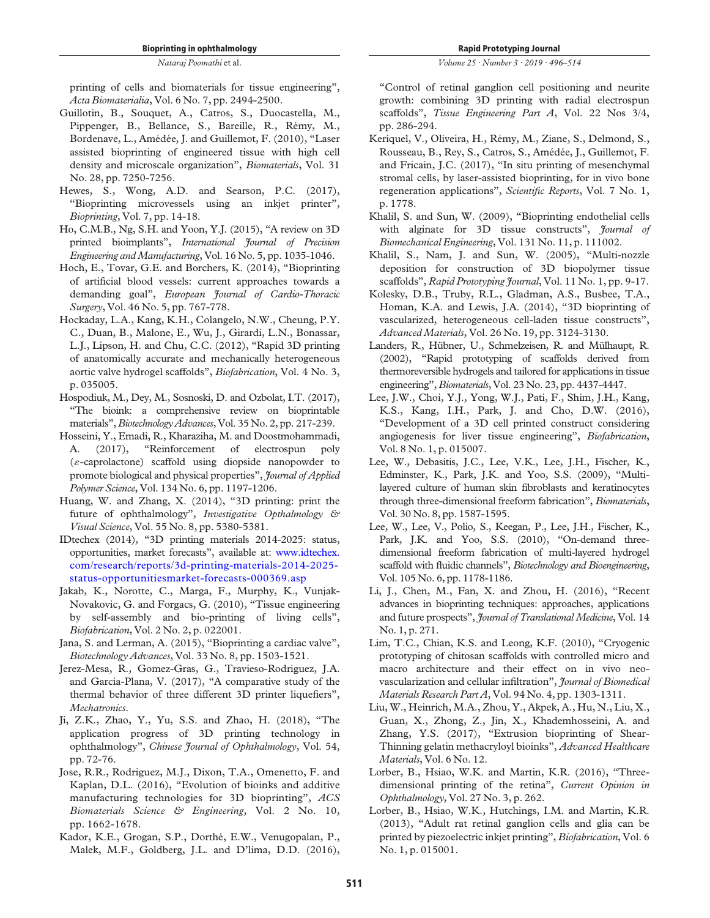printing of cells and biomaterials for tissue engineering", *Acta Biomaterialia*, Vol. 6 No. 7, pp. 2494-2500.

- Guillotin, B., Souquet, A., Catros, S., Duocastella, M., Pippenger, B., Bellance, S., Bareille, R., Rémy, M., Bordenave, L., Amédée, J. and Guillemot, F. (2010), "Laser assisted bioprinting of engineered tissue with high cell density and microscale organization", *Biomaterials*, Vol. 31 No. 28, pp. 7250-7256.
- Hewes, S., Wong, A.D. and Searson, P.C. (2017), "Bioprinting microvessels using an inkjet printer", *Bioprinting*, Vol. 7, pp. 14-18.
- Ho, C.M.B., Ng, S.H. and Yoon, Y.J. (2015), "A review on 3D printed bioimplants", *International Journal of Precision Engineering and Manufacturing*, Vol. 16 No. 5, pp. 1035-1046.
- Hoch, E., Tovar, G.E. and Borchers, K. (2014), "Bioprinting of artificial blood vessels: current approaches towards a demanding goal", *European Journal of Cardio-Thoracic Surgery*, Vol. 46 No. 5, pp. 767-778.
- Hockaday, L.A., Kang, K.H., Colangelo, N.W., Cheung, P.Y. C., Duan, B., Malone, E., Wu, J., Girardi, L.N., Bonassar, L.J., Lipson, H. and Chu, C.C. (2012), "Rapid 3D printing of anatomically accurate and mechanically heterogeneous aortic valve hydrogel scaffolds", *Biofabrication*, Vol. 4 No. 3, p. 035005.
- Hospodiuk, M., Dey, M., Sosnoski, D. and Ozbolat, I.T. (2017), "The bioink: a comprehensive review on bioprintable materials",*Biotechnology Advances*, Vol. 35 No. 2, pp. 217-239.
- Hosseini, Y., Emadi, R., Kharaziha, M. and Doostmohammadi, A. (2017), "Reinforcement of electrospun poly  $(\varepsilon$ -caprolactone) scaffold using diopside nanopowder to promote biological and physical properties", *Journal of Applied Polymer Science*, Vol. 134 No. 6, pp. 1197-1206.
- Huang, W. and Zhang, X. (2014), "3D printing: print the future of ophthalmology", *Investigative Opthalmology & Visual Science*, Vol. 55 No. 8, pp. 5380-5381.
- IDtechex (2014), "3D printing materials 2014-2025: status, opportunities, market forecasts", available at: www.idtechex. com/research/reports/3d-printing-materials-2014-2025 status-opportunitiesmarket-forecasts-000369.asp
- Jakab, K., Norotte, C., Marga, F., Murphy, K., Vunjak-Novakovic, G. and Forgacs, G. (2010), "Tissue engineering by self-assembly and bio-printing of living cells", *Biofabrication*, Vol. 2 No. 2, p. 022001.
- Jana, S. and Lerman, A. (2015), "Bioprinting a cardiac valve", *Biotechnology Advances*, Vol. 33 No. 8, pp. 1503-1521.
- Jerez-Mesa, R., Gomez-Gras, G., Travieso-Rodriguez, J.A. and Garcia-Plana, V. (2017), "A comparative study of the thermal behavior of three different 3D printer liquefiers", *Mechatronics*.
- Ji, Z.K., Zhao, Y., Yu, S.S. and Zhao, H. (2018), "The application progress of 3D printing technology in ophthalmology", *Chinese Journal of Ophthalmology*, Vol. 54, pp. 72-76.
- Jose, R.R., Rodriguez, M.J., Dixon, T.A., Omenetto, F. and Kaplan, D.L. (2016), "Evolution of bioinks and additive manufacturing technologies for 3D bioprinting", *ACS Biomaterials Science & Engineering*, Vol. 2 No. 10, pp. 1662-1678.
- Kador, K.E., Grogan, S.P., Dorthé, E.W., Venugopalan, P., Malek, M.F., Goldberg, J.L. and D'lima, D.D. (2016),

*Volume 25 · Number 3 · 2019 · 496*–*514*

"Control of retinal ganglion cell positioning and neurite growth: combining 3D printing with radial electrospun scaffolds", *Tissue Engineering Part A*, Vol. 22 Nos 3/4, pp. 286-294.

- Keriquel, V., Oliveira, H., Rémy, M., Ziane, S., Delmond, S., Rousseau, B., Rey, S., Catros, S., Amédée, J., Guillemot, F. and Fricain, J.C. (2017), "In situ printing of mesenchymal stromal cells, by laser-assisted bioprinting, for in vivo bone regeneration applications", *Scienti*fi*c Reports*, Vol. 7 No. 1, p. 1778.
- Khalil, S. and Sun, W. (2009), "Bioprinting endothelial cells with alginate for 3D tissue constructs", *Journal of Biomechanical Engineering*, Vol. 131 No. 11, p. 111002.
- Khalil, S., Nam, J. and Sun, W. (2005), "Multi-nozzle deposition for construction of 3D biopolymer tissue scaffolds", *Rapid Prototyping Journal*, Vol. 11 No. 1, pp. 9-17.
- Kolesky, D.B., Truby, R.L., Gladman, A.S., Busbee, T.A., Homan, K.A. and Lewis, J.A. (2014), "3D bioprinting of vascularized, heterogeneous cell-laden tissue constructs", *Advanced Materials*, Vol. 26 No. 19, pp. 3124-3130.
- Landers, R., Hübner, U., Schmelzeisen, R. and Mülhaupt, R. (2002), "Rapid prototyping of scaffolds derived from thermoreversible hydrogels and tailored for applications in tissue engineering",*Biomaterials*, Vol. 23 No. 23, pp. 4437-4447.
- Lee, J.W., Choi, Y.J., Yong, W.J., Pati, F., Shim, J.H., Kang, K.S., Kang, I.H., Park, J. and Cho, D.W. (2016), "Development of a 3D cell printed construct considering angiogenesis for liver tissue engineering", *Biofabrication*, Vol. 8 No. 1, p. 015007.
- Lee, W., Debasitis, J.C., Lee, V.K., Lee, J.H., Fischer, K., Edminster, K., Park, J.K. and Yoo, S.S. (2009), "Multilayered culture of human skin fibroblasts and keratinocytes through three-dimensional freeform fabrication", *Biomaterials*, Vol. 30 No. 8, pp. 1587-1595.
- Lee, W., Lee, V., Polio, S., Keegan, P., Lee, J.H., Fischer, K., Park, J.K. and Yoo, S.S. (2010), "On-demand threedimensional freeform fabrication of multi-layered hydrogel scaffold with fluidic channels", *Biotechnology and Bioengineering*, Vol. 105 No. 6, pp. 1178-1186.
- Li, J., Chen, M., Fan, X. and Zhou, H. (2016), "Recent advances in bioprinting techniques: approaches, applications and future prospects", *Journal of Translational Medicine*, Vol. 14 No. 1, p. 271.
- Lim, T.C., Chian, K.S. and Leong, K.F. (2010), "Cryogenic prototyping of chitosan scaffolds with controlled micro and macro architecture and their effect on in vivo neovascularization and cellular infiltration", *Journal of Biomedical Materials Research Part A*, Vol. 94 No. 4, pp. 1303-1311.
- Liu, W., Heinrich, M.A., Zhou, Y., Akpek, A., Hu, N., Liu, X., Guan, X., Zhong, Z., Jin, X., Khademhosseini, A. and Zhang, Y.S. (2017), "Extrusion bioprinting of Shear-Thinning gelatin methacryloyl bioinks", *Advanced Healthcare Materials*, Vol. 6 No. 12.
- Lorber, B., Hsiao, W.K. and Martin, K.R. (2016), "Threedimensional printing of the retina", *Current Opinion in Ophthalmology*, Vol. 27 No. 3, p. 262.
- Lorber, B., Hsiao, W.K., Hutchings, I.M. and Martin, K.R. (2013), "Adult rat retinal ganglion cells and glia can be printed by piezoelectric inkjet printing", *Biofabrication*, Vol. 6 No. 1, p. 015001.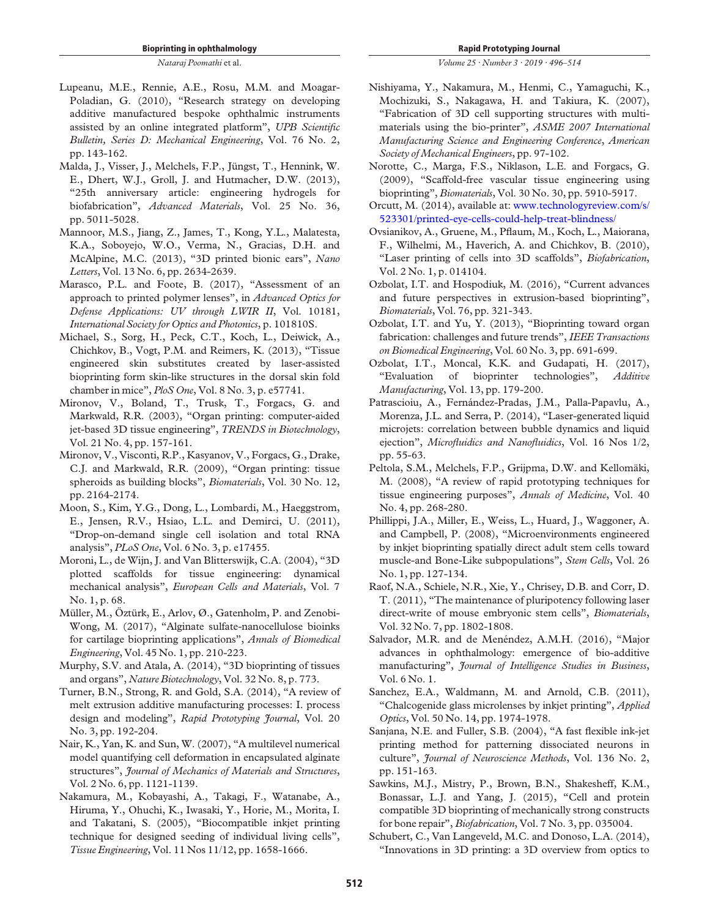- Lupeanu, M.E., Rennie, A.E., Rosu, M.M. and Moagar-Poladian, G. (2010), "Research strategy on developing additive manufactured bespoke ophthalmic instruments assisted by an online integrated platform", *UPB Scienti*fi*c Bulletin, Series D: Mechanical Engineering*, Vol. 76 No. 2, pp. 143-162.
- Malda, J., Visser, J., Melchels, F.P., Jüngst, T., Hennink, W. E., Dhert, W.J., Groll, J. and Hutmacher, D.W. (2013), "25th anniversary article: engineering hydrogels for biofabrication", *Advanced Materials*, Vol. 25 No. 36, pp. 5011-5028.
- Mannoor, M.S., Jiang, Z., James, T., Kong, Y.L., Malatesta, K.A., Soboyejo, W.O., Verma, N., Gracias, D.H. and McAlpine, M.C. (2013), "3D printed bionic ears", *Nano Letters*, Vol. 13 No. 6, pp. 2634-2639.
- Marasco, P.L. and Foote, B. (2017), "Assessment of an approach to printed polymer lenses", in *Advanced Optics for Defense Applications: UV through LWIR II*, Vol. 10181, *International Society for Optics and Photonics*, p. 101810S.
- Michael, S., Sorg, H., Peck, C.T., Koch, L., Deiwick, A., Chichkov, B., Vogt, P.M. and Reimers, K. (2013), "Tissue engineered skin substitutes created by laser-assisted bioprinting form skin-like structures in the dorsal skin fold chamber in mice", *PloS One*, Vol. 8 No. 3, p. e57741.
- Mironov, V., Boland, T., Trusk, T., Forgacs, G. and Markwald, R.R. (2003), "Organ printing: computer-aided jet-based 3D tissue engineering", *TRENDS in Biotechnology*, Vol. 21 No. 4, pp. 157-161.
- Mironov, V., Visconti, R.P., Kasyanov, V., Forgacs, G., Drake, C.J. and Markwald, R.R. (2009), "Organ printing: tissue spheroids as building blocks", *Biomaterials*, Vol. 30 No. 12, pp. 2164-2174.
- Moon, S., Kim, Y.G., Dong, L., Lombardi, M., Haeggstrom, E., Jensen, R.V., Hsiao, L.L. and Demirci, U. (2011), "Drop-on-demand single cell isolation and total RNA analysis", *PLoS One*, Vol. 6 No. 3, p. e17455.
- Moroni, L., de Wijn, J. and Van Blitterswijk, C.A. (2004), "3D plotted scaffolds for tissue engineering: dynamical mechanical analysis", *European Cells and Materials*, Vol. 7 No. 1, p. 68.
- Müller, M., Öztürk, E., Arlov, Ø., Gatenholm, P. and Zenobi-Wong, M. (2017), "Alginate sulfate-nanocellulose bioinks for cartilage bioprinting applications", *Annals of Biomedical Engineering*, Vol. 45 No. 1, pp. 210-223.
- Murphy, S.V. and Atala, A. (2014), "3D bioprinting of tissues and organs", *Nature Biotechnology*, Vol. 32 No. 8, p. 773.
- Turner, B.N., Strong, R. and Gold, S.A. (2014), "A review of melt extrusion additive manufacturing processes: I. process design and modeling", *Rapid Prototyping Journal*, Vol. 20 No. 3, pp. 192-204.
- Nair, K., Yan, K. and Sun, W. (2007), "A multilevel numerical model quantifying cell deformation in encapsulated alginate structures", *Journal of Mechanics of Materials and Structures*, Vol. 2 No. 6, pp. 1121-1139.
- Nakamura, M., Kobayashi, A., Takagi, F., Watanabe, A., Hiruma, Y., Ohuchi, K., Iwasaki, Y., Horie, M., Morita, I. and Takatani, S. (2005), "Biocompatible inkjet printing technique for designed seeding of individual living cells", *Tissue Engineering*, Vol. 11 Nos 11/12, pp. 1658-1666.

*Volume 25 · Number 3 · 2019 · 496*–*514*

- Nishiyama, Y., Nakamura, M., Henmi, C., Yamaguchi, K., Mochizuki, S., Nakagawa, H. and Takiura, K. (2007), "Fabrication of 3D cell supporting structures with multimaterials using the bio-printer", *ASME 2007 International Manufacturing Science and Engineering Conference*, *American Society of Mechanical Engineers*, pp. 97-102.
- Norotte, C., Marga, F.S., Niklason, L.E. and Forgacs, G. (2009), "Scaffold-free vascular tissue engineering using bioprinting", *Biomaterials*, Vol. 30 No. 30, pp. 5910-5917.
- Orcutt, M. (2014), available at: www.technologyreview.com/s/ 523301/printed-eye-cells-could-help-treat-blindness/
- Ovsianikov, A., Gruene, M., Pflaum, M., Koch, L., Maiorana, F., Wilhelmi, M., Haverich, A. and Chichkov, B. (2010), "Laser printing of cells into 3D scaffolds", *Biofabrication*, Vol. 2 No. 1, p. 014104.
- Ozbolat, I.T. and Hospodiuk, M. (2016), "Current advances and future perspectives in extrusion-based bioprinting", *Biomaterials*, Vol. 76, pp. 321-343.
- Ozbolat, I.T. and Yu, Y. (2013), "Bioprinting toward organ fabrication: challenges and future trends", *IEEE Transactions on Biomedical Engineering*, Vol. 60 No. 3, pp. 691-699.
- Ozbolat, I.T., Moncal, K.K. and Gudapati, H. (2017), "Evaluation of bioprinter technologies", *Additive Manufacturing*, Vol. 13, pp. 179-200.
- Patrascioiu, A., Fernández-Pradas, J.M., Palla-Papavlu, A., Morenza, J.L. and Serra, P. (2014), "Laser-generated liquid microjets: correlation between bubble dynamics and liquid ejection", *Micro*fl*uidics and Nano*fl*uidics*, Vol. 16 Nos 1/2, pp. 55-63.
- Peltola, S.M., Melchels, F.P., Grijpma, D.W. and Kellomäki, M. (2008), "A review of rapid prototyping techniques for tissue engineering purposes", *Annals of Medicine*, Vol. 40 No. 4, pp. 268-280.
- Phillippi, J.A., Miller, E., Weiss, L., Huard, J., Waggoner, A. and Campbell, P. (2008), "Microenvironments engineered by inkjet bioprinting spatially direct adult stem cells toward muscle-and Bone-Like subpopulations", *Stem Cells*, Vol. 26 No. 1, pp. 127-134.
- Raof, N.A., Schiele, N.R., Xie, Y., Chrisey, D.B. and Corr, D. T. (2011), "The maintenance of pluripotency following laser direct-write of mouse embryonic stem cells", *Biomaterials*, Vol. 32 No. 7, pp. 1802-1808.
- Salvador, M.R. and de Menéndez, A.M.H. (2016), "Major advances in ophthalmology: emergence of bio-additive manufacturing", *Journal of Intelligence Studies in Business*, Vol. 6 No. 1.
- Sanchez, E.A., Waldmann, M. and Arnold, C.B. (2011), "Chalcogenide glass microlenses by inkjet printing", *Applied Optics*, Vol. 50 No. 14, pp. 1974-1978.
- Sanjana, N.E. and Fuller, S.B. (2004), "A fast flexible ink-jet printing method for patterning dissociated neurons in culture", *Journal of Neuroscience Methods*, Vol. 136 No. 2, pp. 151-163.
- Sawkins, M.J., Mistry, P., Brown, B.N., Shakesheff, K.M., Bonassar, L.J. and Yang, J. (2015), "Cell and protein compatible 3D bioprinting of mechanically strong constructs for bone repair", *Biofabrication*, Vol. 7 No. 3, pp. 035004.
- Schubert, C., Van Langeveld, M.C. and Donoso, L.A. (2014), "Innovations in 3D printing: a 3D overview from optics to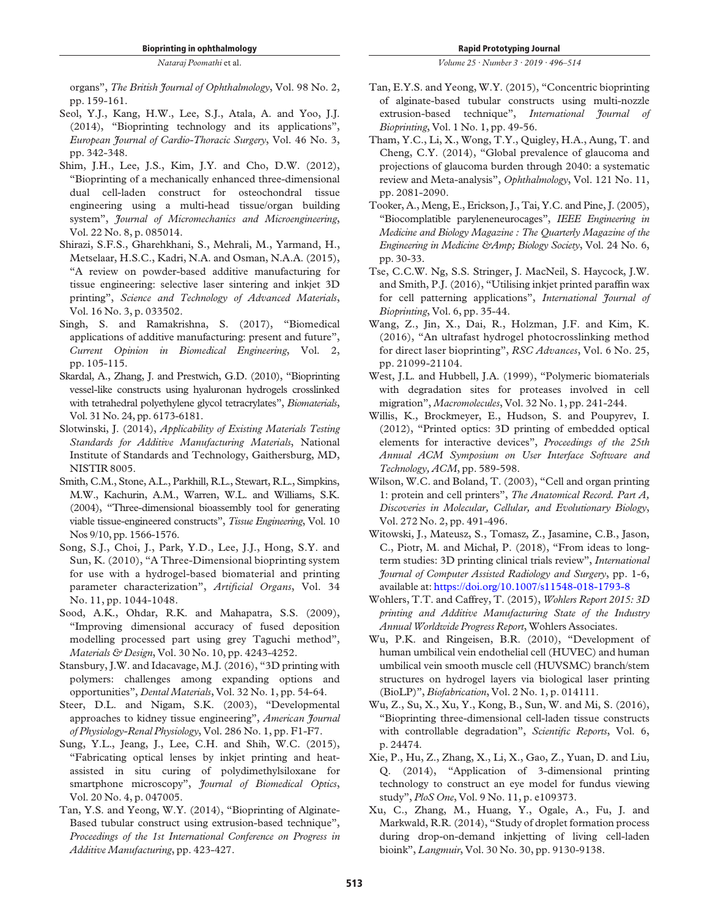organs", *The British Journal of Ophthalmology*, Vol. 98 No. 2, pp. 159-161.

- Seol, Y.J., Kang, H.W., Lee, S.J., Atala, A. and Yoo, J.J. (2014), "Bioprinting technology and its applications", *European Journal of Cardio-Thoracic Surgery*, Vol. 46 No. 3, pp. 342-348.
- Shim, J.H., Lee, J.S., Kim, J.Y. and Cho, D.W. (2012), "Bioprinting of a mechanically enhanced three-dimensional dual cell-laden construct for osteochondral tissue engineering using a multi-head tissue/organ building system", *Journal of Micromechanics and Microengineering*, Vol. 22 No. 8, p. 085014.
- Shirazi, S.F.S., Gharehkhani, S., Mehrali, M., Yarmand, H., Metselaar, H.S.C., Kadri, N.A. and Osman, N.A.A. (2015), "A review on powder-based additive manufacturing for tissue engineering: selective laser sintering and inkjet 3D printing", *Science and Technology of Advanced Materials*, Vol. 16 No. 3, p. 033502.
- Singh, S. and Ramakrishna, S. (2017), "Biomedical applications of additive manufacturing: present and future", *Current Opinion in Biomedical Engineering*, Vol. 2, pp. 105-115.
- Skardal, A., Zhang, J. and Prestwich, G.D. (2010), "Bioprinting vessel-like constructs using hyaluronan hydrogels crosslinked with tetrahedral polyethylene glycol tetracrylates", *Biomaterials*, Vol. 31 No. 24, pp. 6173-6181.
- Slotwinski, J. (2014), *Applicability of Existing Materials Testing Standards for Additive Manufacturing Materials*, National Institute of Standards and Technology, Gaithersburg, MD, NISTIR 8005.
- Smith, C.M., Stone, A.L., Parkhill, R.L., Stewart, R.L., Simpkins, M.W., Kachurin, A.M., Warren, W.L. and Williams, S.K. (2004), "Three-dimensional bioassembly tool for generating viable tissue-engineered constructs", *Tissue Engineering*, Vol. 10 Nos 9/10, pp. 1566-1576.
- Song, S.J., Choi, J., Park, Y.D., Lee, J.J., Hong, S.Y. and Sun, K. (2010), "A Three-Dimensional bioprinting system for use with a hydrogel-based biomaterial and printing parameter characterization", *Arti*fi*cial Organs*, Vol. 34 No. 11, pp. 1044-1048.
- Sood, A.K., Ohdar, R.K. and Mahapatra, S.S. (2009), "Improving dimensional accuracy of fused deposition modelling processed part using grey Taguchi method", *Materials & Design*, Vol. 30 No. 10, pp. 4243-4252.
- Stansbury, J.W. and Idacavage, M.J. (2016), "3D printing with polymers: challenges among expanding options and opportunities", *Dental Materials*, Vol. 32 No. 1, pp. 54-64.
- Steer, D.L. and Nigam, S.K. (2003), "Developmental approaches to kidney tissue engineering", *American Journal of Physiology-Renal Physiology*, Vol. 286 No. 1, pp. F1-F7.
- Sung, Y.L., Jeang, J., Lee, C.H. and Shih, W.C. (2015), "Fabricating optical lenses by inkjet printing and heatassisted in situ curing of polydimethylsiloxane for smartphone microscopy", *Journal of Biomedical Optics*, Vol. 20 No. 4, p. 047005.
- Tan, Y.S. and Yeong, W.Y. (2014), "Bioprinting of Alginate-Based tubular construct using extrusion-based technique", *Proceedings of the 1st International Conference on Progress in Additive Manufacturing*, pp. 423-427.

*Volume 25 · Number 3 · 2019 · 496*–*514*

- Tan, E.Y.S. and Yeong, W.Y. (2015), "Concentric bioprinting of alginate-based tubular constructs using multi-nozzle extrusion-based technique", *International Journal of Bioprinting*, Vol. 1 No. 1, pp. 49-56.
- Tham, Y.C., Li, X., Wong, T.Y., Quigley, H.A., Aung, T. and Cheng, C.Y. (2014), "Global prevalence of glaucoma and projections of glaucoma burden through 2040: a systematic review and Meta-analysis", *Ophthalmology*, Vol. 121 No. 11, pp. 2081-2090.
- Tooker, A., Meng, E., Erickson, J., Tai, Y.C. and Pine, J. (2005), "Biocomplatible paryleneneurocages", *IEEE Engineering in Medicine and Biology Magazine : The Quarterly Magazine of the Engineering in Medicine &Amp; Biology Society*, Vol. 24 No. 6, pp. 30-33.
- Tse, C.C.W. Ng, S.S. Stringer, J. MacNeil, S. Haycock, J.W. and Smith, P.J. (2016), "Utilising inkjet printed paraffin wax for cell patterning applications", *International Journal of Bioprinting*, Vol. 6, pp. 35-44.
- Wang, Z., Jin, X., Dai, R., Holzman, J.F. and Kim, K. (2016), "An ultrafast hydrogel photocrosslinking method for direct laser bioprinting", *RSC Advances*, Vol. 6 No. 25, pp. 21099-21104.
- West, J.L. and Hubbell, J.A. (1999), "Polymeric biomaterials with degradation sites for proteases involved in cell migration", *Macromolecules*, Vol. 32 No. 1, pp. 241-244.
- Willis, K., Brockmeyer, E., Hudson, S. and Poupyrev, I. (2012), "Printed optics: 3D printing of embedded optical elements for interactive devices", *Proceedings of the 25th Annual ACM Symposium on User Interface Software and Technology, ACM*, pp. 589-598.
- Wilson, W.C. and Boland, T. (2003), "Cell and organ printing 1: protein and cell printers", *The Anatomical Record. Part A, Discoveries in Molecular, Cellular, and Evolutionary Biology*, Vol. 272 No. 2, pp. 491-496.
- Witowski, J., Mateusz, S., Tomasz, Z., Jasamine, C.B., Jason, C., Piotr, M. and Michał, P. (2018), "From ideas to longterm studies: 3D printing clinical trials review", *International Journal of Computer Assisted Radiology and Surgery*, pp. 1-6, available at: https://doi.org/10.1007/s11548-018-1793-8
- Wohlers, T.T. and Caffrey, T. (2015), *Wohlers Report 2015: 3D printing and Additive Manufacturing State of the Industry Annual Worldwide Progress Report*, Wohlers Associates.
- Wu, P.K. and Ringeisen, B.R. (2010), "Development of human umbilical vein endothelial cell (HUVEC) and human umbilical vein smooth muscle cell (HUVSMC) branch/stem structures on hydrogel layers via biological laser printing (BioLP)", *Biofabrication*, Vol. 2 No. 1, p. 014111.
- Wu, Z., Su, X., Xu, Y., Kong, B., Sun, W. and Mi, S. (2016), "Bioprinting three-dimensional cell-laden tissue constructs with controllable degradation", *Scienti*fi*c Reports*, Vol. 6, p. 24474.
- Xie, P., Hu, Z., Zhang, X., Li, X., Gao, Z., Yuan, D. and Liu, Q. (2014), "Application of 3-dimensional printing technology to construct an eye model for fundus viewing study", *PloS One*, Vol. 9 No. 11, p. e109373.
- Xu, C., Zhang, M., Huang, Y., Ogale, A., Fu, J. and Markwald, R.R. (2014), "Study of droplet formation process during drop-on-demand inkjetting of living cell-laden bioink", *Langmuir*, Vol. 30 No. 30, pp. 9130-9138.